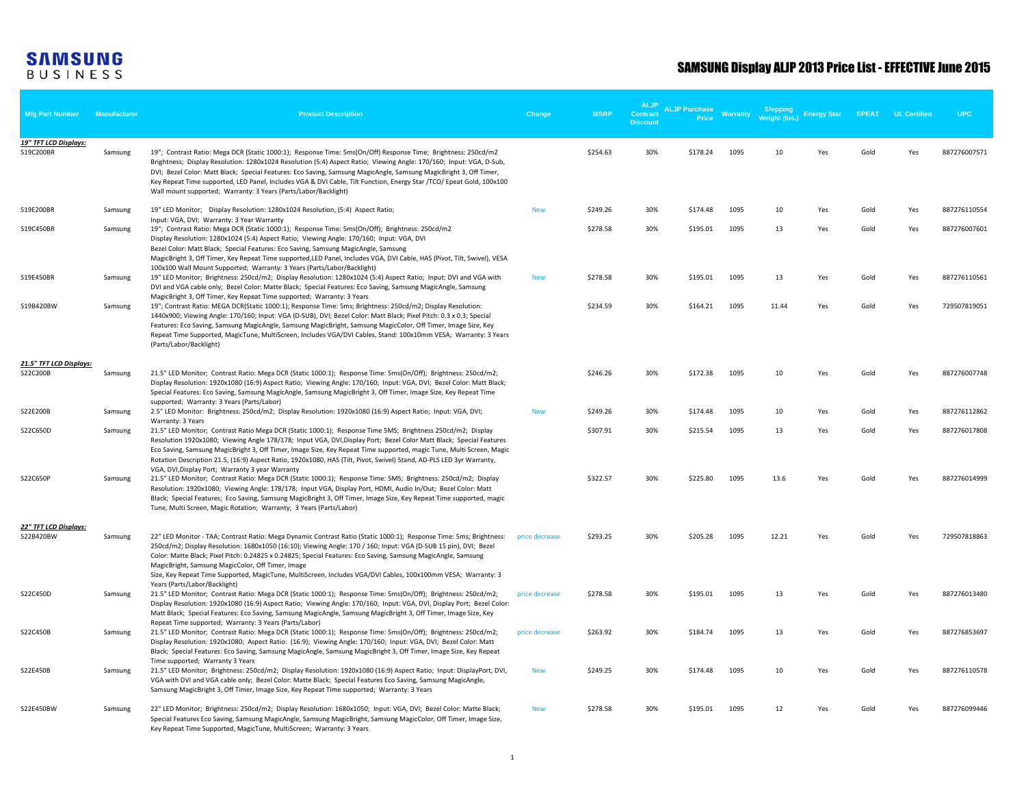| <b>Mfg Part Number</b>             | Manufacturer | <b>Product Description</b>                                                                                                                                                                                                                                                                                                                                                                                                                                                                                                                                      | <b>Change</b>  | <b>MSRP</b> | <b>ALJP</b><br>Contract<br><b>Discount</b> | <b>ALJP Purchase</b><br><b>Price</b> | Warranty | Shipping<br>Weight (lbs.) | <b>Energy Star</b> | <b>EPEAT</b> | <b>UL Certified</b> | <b>UPC</b>   |
|------------------------------------|--------------|-----------------------------------------------------------------------------------------------------------------------------------------------------------------------------------------------------------------------------------------------------------------------------------------------------------------------------------------------------------------------------------------------------------------------------------------------------------------------------------------------------------------------------------------------------------------|----------------|-------------|--------------------------------------------|--------------------------------------|----------|---------------------------|--------------------|--------------|---------------------|--------------|
| 19" TFT LCD Displays:<br>S19C200BR | Samsung      | 19"; Contrast Ratio: Mega DCR (Static 1000:1); Response Time: 5ms(On/Off) Response Time; Brightness: 250cd/m2<br>Brightness; Display Resolution: 1280x1024 Resolution (5:4) Aspect Ratio; Viewing Angle: 170/160; Input: VGA, D-Sub,<br>DVI; Bezel Color: Matt Black; Special Features: Eco Saving, Samsung MagicAngle, Samsung MagicBright 3, Off Timer,<br>Key Repeat Time supported, LED Panel, Includes VGA & DVI Cable, Tilt Function, Energy Star /TCO/ Epeat Gold, 100x100<br>Wall mount supported; Warranty: 3 Years (Parts/Labor/Backlight)            |                | \$254.63    | 30%                                        | \$178.24                             | 1095     | 10                        | Yes                | Gold         | Yes                 | 887276007571 |
| S19E200BR                          | Samsung      | 19" LED Monitor; Display Resolution: 1280x1024 Resolution, (5:4) Aspect Ratio;                                                                                                                                                                                                                                                                                                                                                                                                                                                                                  | <b>New</b>     | \$249.26    | 30%                                        | \$174.48                             | 1095     | 10                        | Yes                | Gold         | Yes                 | 887276110554 |
| S19C450BR                          | Samsung      | Input: VGA, DVI; Warranty: 3 Year Warranty<br>19"; Contrast Ratio: Mega DCR (Static 1000:1); Response Time: 5ms(On/Off); Brightness: 250cd/m2<br>Display Resolution: 1280x1024 (5:4) Aspect Ratio; Viewing Angle: 170/160; Input: VGA, DVI<br>Bezel Color: Matt Black; Special Features: Eco Saving, Samsung MagicAngle, Samsung<br>MagicBright 3, Off Timer, Key Repeat Time supported, LED Panel, Includes VGA, DVI Cable, HAS (Pivot, Tilt, Swivel), VESA<br>100x100 Wall Mount Supported; Warranty: 3 Years (Parts/Labor/Backlight)                         |                | \$278.58    | 30%                                        | \$195.01                             | 1095     | 13                        | Yes                | Gold         | Yes                 | 887276007601 |
| S19E450BR                          | Samsung      | 19" LED Monitor; Brightness: 250cd/m2; Display Resolution: 1280x1024 (5:4) Aspect Ratio; Input: DVI and VGA with<br>DVI and VGA cable only; Bezel Color: Matte Black; Special Features: Eco Saving, Samsung MagicAngle, Samsung<br>MagicBright 3, Off Timer, Key Repeat Time supported; Warranty: 3 Years                                                                                                                                                                                                                                                       | <b>New</b>     | \$278.58    | 30%                                        | \$195.01                             | 1095     | 13                        | Yes                | Gold         | Yes                 | 887276110561 |
| S19B420BW                          | Samsung      | 19"; Contrast Ratio: MEGA DCR(Static 1000:1); Response Time: 5ms; Brightness: 250cd/m2; Display Resolution:<br>1440x900; Viewing Angle: 170/160; Input: VGA (D-SUB), DVI; Bezel Color: Matt Black; Pixel Pitch: 0.3 x 0.3; Special<br>Features: Eco Saving, Samsung MagicAngle, Samsung MagicBright, Samsung MagicColor, Off Timer, Image Size, Key<br>Repeat Time Supported, MagicTune, MultiScreen, Includes VGA/DVI Cables, Stand: 100x10mm VESA; Warranty: 3 Years<br>(Parts/Labor/Backlight)                                                               |                | \$234.59    | 30%                                        | \$164.21                             | 1095     | 11.44                     | Yes                | Gold         | Yes                 | 729507819051 |
| 21.5" TFT LCD Displays:            |              |                                                                                                                                                                                                                                                                                                                                                                                                                                                                                                                                                                 |                |             |                                            |                                      |          |                           |                    |              |                     |              |
| S22C200B                           | Samsung      | 21.5" LED Monitor; Contrast Ratio: Mega DCR (Static 1000:1); Response Time: 5ms(On/Off); Brightness: 250cd/m2;<br>Display Resolution: 1920x1080 (16:9) Aspect Ratio; Viewing Angle: 170/160; Input: VGA, DVI; Bezel Color: Matt Black;<br>Special Features: Eco Saving, Samsung MagicAngle, Samsung MagicBright 3, Off Timer, Image Size, Key Repeat Time<br>supported; Warranty: 3 Years (Parts/Labor)                                                                                                                                                         |                | \$246.26    | 30%                                        | \$172.38                             | 1095     | 10                        | Yes                | Gold         | Yes                 | 887276007748 |
| S22E200B                           | Samsung      | 2.5" LED Monitor: Brightness: 250cd/m2; Display Resolution: 1920x1080 (16:9) Aspect Ratio; Input: VGA, DVI;<br>Warranty: 3 Years                                                                                                                                                                                                                                                                                                                                                                                                                                | <b>New</b>     | \$249.26    | 30%                                        | \$174.48                             | 1095     | 10                        | Yes                | Gold         | Yes                 | 887276112862 |
| S22C650D                           | Samsung      | 21.5" LED Monitor; Contrast Ratio Mega DCR (Static 1000:1); Response Time 5MS; Brightness 250cd/m2; Display<br>Resolution 1920x1080; Viewing Angle 178/178; Input VGA, DVI, Display Port; Bezel Color Matt Black; Special Features<br>Eco Saving, Samsung MagicBright 3, Off Timer, Image Size, Key Repeat Time supported, magic Tune, Multi Screen, Magic<br>Rotation Description 21.5, (16:9) Aspect Ratio, 1920x1080, HAS (Tilt, Pivot, Swivel) Stand, AD-PLS LED 3yr Warranty,<br>VGA, DVI, Display Port; Warranty 3 year Warranty                          |                | \$307.91    | 30%                                        | \$215.54                             | 1095     | 13                        | Yes                | Gold         | Yes                 | 887276017808 |
| S22C650P                           | Samsung      | 21.5" LED Monitor; Contrast Ratio: Mega DCR (Static 1000:1); Response Time: 5MS; Brightness: 250cd/m2; Display<br>Resolution: 1920x1080; Viewing Angle: 178/178; Input VGA, Display Port, HDMI, Audio In/Out; Bezel Color: Matt<br>Black; Special Features; Eco Saving, Samsung MagicBright 3, Off Timer, Image Size, Key Repeat Time supported, magic<br>Tune, Multi Screen, Magic Rotation; Warranty; 3 Years (Parts/Labor)                                                                                                                                   |                | \$322.57    | 30%                                        | \$225.80                             | 1095     | 13.6                      | Yes                | Gold         | Yes                 | 887276014999 |
| 22" TFT LCD Displays:<br>S22B420BW | Samsung      | 22" LED Monitor - TAA; Contrast Ratio: Mega Dynamic Contrast Ratio (Static 1000:1); Response Time: 5ms; Brightness:<br>250cd/m2; Display Resolution: 1680x1050 (16:10); Viewing Angle: 170 / 160; Input: VGA (D-SUB 15 pin), DVI; Bezel<br>Color: Matte Black; Pixel Pitch: 0.24825 x 0.24825; Special Features: Eco Saving, Samsung MagicAngle, Samsung<br>MagicBright, Samsung MagicColor, Off Timer, Image<br>Size, Key Repeat Time Supported, MagicTune, MultiScreen, Includes VGA/DVI Cables, 100x100mm VESA; Warranty: 3<br>Years (Parts/Labor/Backlight) | price decrease | \$293.25    | 30%                                        | \$205.28                             | 1095     | 12.21                     | Yes                | Gold         | Yes                 | 729507818863 |
| S22C450D                           | Samsung      | 21.5" LED Monitor; Contrast Ratio: Mega DCR (Static 1000:1); Response Time: 5ms(On/Off); Brightness: 250cd/m2;<br>Display Resolution: 1920x1080 (16:9) Aspect Ratio; Viewing Angle: 170/160; Input: VGA, DVI, Display Port; Bezel Color:<br>Matt Black; Special Features: Eco Saving, Samsung MagicAngle, Samsung MagicBright 3, Off Timer, Image Size, Key                                                                                                                                                                                                     | price decrease | \$278.58    | 30%                                        | \$195.01                             | 1095     | 13                        | Yes                | Gold         | Yes                 | 887276013480 |
| S22C450B                           | Samsung      | Repeat Time supported; Warranty: 3 Years (Parts/Labor)<br>21.5" LED Monitor; Contrast Ratio: Mega DCR (Static 1000:1); Response Time: 5ms(On/Off); Brightness: 250cd/m2;<br>Display Resolution: 1920x1080; Aspect Ratio: (16:9); Viewing Angle: 170/160; Input: VGA, DVI; Bezel Color: Matt<br>Black; Special Features: Eco Saving, Samsung MagicAngle, Samsung MagicBright 3, Off Timer, Image Size, Key Repeat                                                                                                                                                | price decrease | \$263.92    | 30%                                        | \$184.74                             | 1095     | 13                        | Yes                | Gold         | Yes                 | 887276853697 |
| S22E450B                           | Samsung      | Time supported; Warranty 3 Years<br>21.5" LED Monitor; Brightness: 250cd/m2; Display Resolution: 1920x1080 (16:9) Aspect Ratio; Input: DisplayPort, DVI,<br>VGA with DVI and VGA cable only; Bezel Color: Matte Black; Special Features Eco Saving, Samsung MagicAngle,<br>Samsung MagicBright 3, Off Timer, Image Size, Key Repeat Time supported; Warranty: 3 Years                                                                                                                                                                                           | <b>New</b>     | \$249.25    | 30%                                        | \$174.48                             | 1095     | 10                        | Yes                | Gold         | Yes                 | 887276110578 |
| S22E450BW                          | Samsung      | 22" LED Monitor; Brightness: 250cd/m2; Display Resolution: 1680x1050; Input: VGA, DVI; Bezel Color: Matte Black;<br>Special Features Eco Saving, Samsung MagicAngle, Samsung MagicBright, Samsung MagicColor, Off Timer, Image Size,<br>Key Repeat Time Supported, MagicTune, MultiScreen; Warranty: 3 Years                                                                                                                                                                                                                                                    | <b>New</b>     | \$278.58    | 30%                                        | \$195.01                             | 1095     | 12                        | Yes                | Gold         | Yes                 | 887276099446 |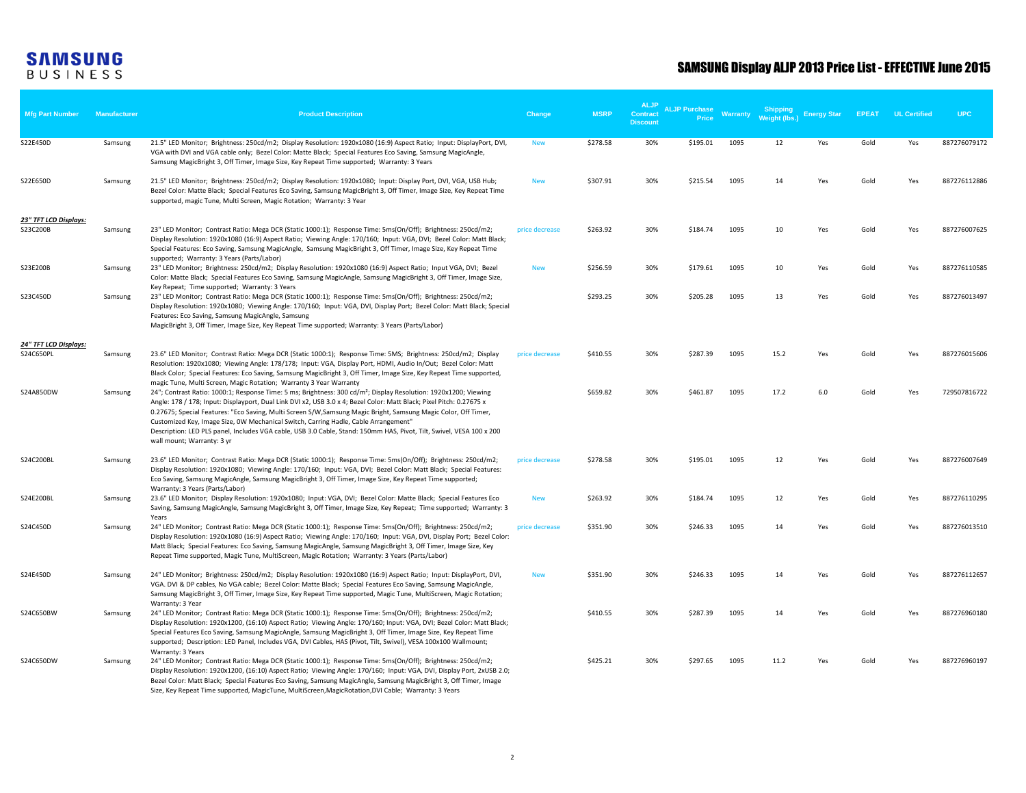| <b>Mfg Part Number</b>            | <b>Manufacturer</b> | <b>Product Description</b>                                                                                                                                                                                                                                                                                                                                                                                                                                                                                                                                                                                           | Change         | <b>MSRP</b> | <b>ALJP</b><br><b>Contract</b><br><b>Discount</b> | <b>ALJP Purchase</b><br>Price | Warranty | Shipping<br>Weight (lbs.) | <b>Energy Star</b> | <b>EPEAT</b> | <b>UL Certified</b> | <b>UPC</b>   |
|-----------------------------------|---------------------|----------------------------------------------------------------------------------------------------------------------------------------------------------------------------------------------------------------------------------------------------------------------------------------------------------------------------------------------------------------------------------------------------------------------------------------------------------------------------------------------------------------------------------------------------------------------------------------------------------------------|----------------|-------------|---------------------------------------------------|-------------------------------|----------|---------------------------|--------------------|--------------|---------------------|--------------|
| S22E450D                          | Samsung             | 21.5" LED Monitor; Brightness: 250cd/m2; Display Resolution: 1920x1080 (16:9) Aspect Ratio; Input: DisplayPort, DVI,<br>VGA with DVI and VGA cable only; Bezel Color: Matte Black; Special Features Eco Saving, Samsung MagicAngle,<br>Samsung MagicBright 3, Off Timer, Image Size, Key Repeat Time supported; Warranty: 3 Years                                                                                                                                                                                                                                                                                    | <b>New</b>     | \$278.58    | 30%                                               | \$195.01                      | 1095     | 12                        | Yes                | Gold         | Yes                 | 887276079172 |
| S22E650D                          | Samsung             | 21.5" LED Monitor; Brightness: 250cd/m2; Display Resolution: 1920x1080; Input: Display Port, DVI, VGA, USB Hub;<br>Bezel Color: Matte Black; Special Features Eco Saving, Samsung MagicBright 3, Off Timer, Image Size, Key Repeat Time<br>supported, magic Tune, Multi Screen, Magic Rotation; Warranty: 3 Year                                                                                                                                                                                                                                                                                                     | <b>New</b>     | \$307.91    | 30%                                               | \$215.54                      | 1095     | 14                        | Yes                | Gold         | Yes                 | 887276112886 |
| 23" TFT LCD Displays:<br>S23C200B | Samsung             | 23" LED Monitor; Contrast Ratio: Mega DCR (Static 1000:1); Response Time: 5ms(On/Off); Brightness: 250cd/m2;<br>Display Resolution: 1920x1080 (16:9) Aspect Ratio; Viewing Angle: 170/160; Input: VGA, DVI; Bezel Color: Matt Black;<br>Special Features: Eco Saving, Samsung MagicAngle, Samsung MagicBright 3, Off Timer, Image Size, Key Repeat Time<br>supported; Warranty: 3 Years (Parts/Labor)                                                                                                                                                                                                                | price decrease | \$263.92    | 30%                                               | \$184.74                      | 1095     | 10                        | Yes                | Gold         | Yes                 | 887276007625 |
| S23E200B                          | Samsung             | 23" LED Monitor; Brightness: 250cd/m2; Display Resolution: 1920x1080 (16:9) Aspect Ratio; Input VGA, DVI; Bezel<br>Color: Matte Black; Special Features Eco Saving, Samsung MagicAngle, Samsung MagicBright 3, Off Timer, Image Size,<br>Key Repeat; Time supported; Warranty: 3 Years                                                                                                                                                                                                                                                                                                                               | <b>New</b>     | \$256.59    | 30%                                               | \$179.61                      | 1095     | 10                        | Yes                | Gold         | Yes                 | 887276110585 |
| S23C450D                          | Samsung             | 23" LED Monitor; Contrast Ratio: Mega DCR (Static 1000:1); Response Time: 5ms(On/Off); Brightness: 250cd/m2;<br>Display Resolution: 1920x1080; Viewing Angle: 170/160; Input: VGA, DVI, Display Port; Bezel Color: Matt Black; Special<br>Features: Eco Saving, Samsung MagicAngle, Samsung<br>MagicBright 3, Off Timer, Image Size, Key Repeat Time supported; Warranty: 3 Years (Parts/Labor)                                                                                                                                                                                                                      |                | \$293.25    | 30%                                               | \$205.28                      | 1095     | 13                        | Yes                | Gold         | Yes                 | 887276013497 |
| 24" TFT LCD Displays:             |                     |                                                                                                                                                                                                                                                                                                                                                                                                                                                                                                                                                                                                                      |                |             |                                                   |                               |          |                           |                    |              |                     |              |
| S24C650PL                         | Samsung             | 23.6" LED Monitor; Contrast Ratio: Mega DCR (Static 1000:1); Response Time: 5MS; Brightness: 250cd/m2; Display<br>Resolution: 1920x1080; Viewing Angle: 178/178; Input: VGA, Display Port, HDMI, Audio In/Out; Bezel Color: Matt<br>Black Color; Special Features: Eco Saving, Samsung MagicBright 3, Off Timer, Image Size, Key Repeat Time supported,<br>magic Tune, Multi Screen, Magic Rotation; Warranty 3 Year Warranty                                                                                                                                                                                        | price decrease | \$410.55    | 30%                                               | \$287.39                      | 1095     | 15.2                      | Yes                | Gold         | Yes                 | 887276015606 |
| S24A850DW                         | Samsung             | 24"; Contrast Ratio: 1000:1; Response Time: 5 ms; Brightness: 300 cd/m <sup>2</sup> ; Display Resolution: 1920x1200; Viewing<br>Angle: 178 / 178; Input: Displayport, Dual Link DVI x2, USB 3.0 x 4; Bezel Color: Matt Black; Pixel Pitch: 0.27675 x<br>0.27675; Special Features: "Eco Saving, Multi Screen S/W, Samsung Magic Bright, Samsung Magic Color, Off Timer,<br>Customized Key, Image Size, OW Mechanical Switch, Carring Hadle, Cable Arrangement"<br>Description: LED PLS panel, Includes VGA cable, USB 3.0 Cable, Stand: 150mm HAS, Pivot, Tilt, Swivel, VESA 100 x 200<br>wall mount; Warranty: 3 yr |                | \$659.82    | 30%                                               | \$461.87                      | 1095     | 17.2                      | 6.0                | Gold         | Yes                 | 729507816722 |
| S24C200BL                         | Samsung             | 23.6" LED Monitor; Contrast Ratio: Mega DCR (Static 1000:1); Response Time: 5ms(On/Off); Brightness: 250cd/m2;<br>Display Resolution: 1920x1080; Viewing Angle: 170/160; Input: VGA, DVI; Bezel Color: Matt Black; Special Features:<br>Eco Saving, Samsung MagicAngle, Samsung MagicBright 3, Off Timer, Image Size, Key Repeat Time supported;<br>Warranty: 3 Years (Parts/Labor)                                                                                                                                                                                                                                  | price decrease | \$278.58    | 30%                                               | \$195.01                      | 1095     | 12                        | Yes                | Gold         | Yes                 | 887276007649 |
| S24E200BL                         | Samsung             | 23.6" LED Monitor; Display Resolution: 1920x1080; Input: VGA, DVI; Bezel Color: Matte Black; Special Features Eco<br>Saving, Samsung MagicAngle, Samsung MagicBright 3, Off Timer, Image Size, Key Repeat; Time supported; Warranty: 3<br>Years                                                                                                                                                                                                                                                                                                                                                                      | <b>New</b>     | \$263.92    | 30%                                               | \$184.74                      | 1095     | 12                        | Yes                | Gold         | Yes                 | 887276110295 |
| S24C450D                          | Samsung             | 24" LED Monitor; Contrast Ratio: Mega DCR (Static 1000:1); Response Time: 5ms(On/Off); Brightness: 250cd/m2;<br>Display Resolution: 1920x1080 (16:9) Aspect Ratio; Viewing Angle: 170/160; Input: VGA, DVI, Display Port; Bezel Color:<br>Matt Black; Special Features: Eco Saving, Samsung MagicAngle, Samsung MagicBright 3, Off Timer, Image Size, Key<br>Repeat Time supported, Magic Tune, MultiScreen, Magic Rotation; Warranty: 3 Years (Parts/Labor)                                                                                                                                                         | price decrease | \$351.90    | 30%                                               | \$246.33                      | 1095     | 14                        | Yes                | Gold         | Yes                 | 887276013510 |
| S24E450D                          | Samsung             | 24" LED Monitor; Brightness: 250cd/m2; Display Resolution: 1920x1080 (16:9) Aspect Ratio; Input: DisplayPort, DVI,<br>VGA. DVI & DP cables, No VGA cable; Bezel Color: Matte Black; Special Features Eco Saving, Samsung MagicAngle,<br>Samsung MagicBright 3, Off Timer, Image Size, Key Repeat Time supported, Magic Tune, MultiScreen, Magic Rotation;<br>Warranty: 3 Year                                                                                                                                                                                                                                        | <b>New</b>     | \$351.90    | 30%                                               | \$246.33                      | 1095     | 14                        | Yes                | Gold         | Yes                 | 887276112657 |
| S24C650BW                         | Samsung             | 24" LED Monitor; Contrast Ratio: Mega DCR (Static 1000:1); Response Time: 5ms(On/Off); Brightness: 250cd/m2;<br>Display Resolution: 1920x1200, (16:10) Aspect Ratio; Viewing Angle: 170/160; Input: VGA, DVI; Bezel Color: Matt Black;<br>Special Features Eco Saving, Samsung MagicAngle, Samsung MagicBright 3, Off Timer, Image Size, Key Repeat Time<br>supported; Description: LED Panel, Includes VGA, DVI Cables, HAS (Pivot, Tilt, Swivel), VESA 100x100 Wallmount;<br>Warranty: 3 Years                                                                                                                     |                | \$410.55    | 30%                                               | \$287.39                      | 1095     | 14                        | Yes                | Gold         | Yes                 | 887276960180 |
| S24C650DW                         | Samsung             | 24" LED Monitor; Contrast Ratio: Mega DCR (Static 1000:1); Response Time: 5ms(On/Off); Brightness: 250cd/m2;<br>Display Resolution: 1920x1200, (16:10) Aspect Ratio; Viewing Angle: 170/160; Input: VGA, DVI, Display Port, 2xUSB 2.0;<br>Bezel Color: Matt Black; Special Features Eco Saving, Samsung MagicAngle, Samsung MagicBright 3, Off Timer, Image<br>Size, Key Repeat Time supported, MagicTune, MultiScreen, MagicRotation, DVI Cable; Warranty: 3 Years                                                                                                                                                  |                | \$425.21    | 30%                                               | \$297.65                      | 1095     | 11.2                      | Yes                | Gold         | Yes                 | 887276960197 |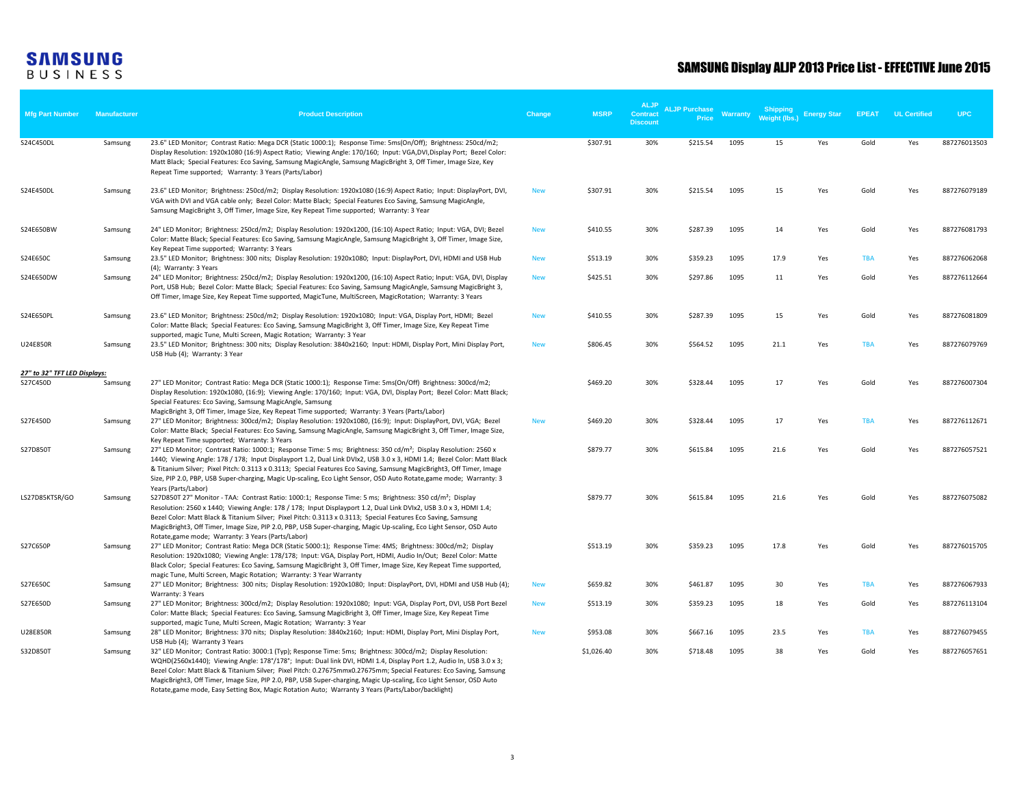| <b>Mfg Part Number</b>       | <b>Manufacturer</b> | <b>Product Description</b>                                                                                                                                                                                                                                                                                                                                                                                                                                                                                                                                                                                              | Change     | <b>MSRP</b> | <b>ALJP</b><br>Contract<br><b>Discount</b> | <b>ALJP Purchase</b><br>Price | Warranty | <b>Shipping</b><br>Weight (lbs.) | <b>Energy Star</b> | <b>EPEAT</b> | <b>UL Certified</b> | <b>UPC</b>   |
|------------------------------|---------------------|-------------------------------------------------------------------------------------------------------------------------------------------------------------------------------------------------------------------------------------------------------------------------------------------------------------------------------------------------------------------------------------------------------------------------------------------------------------------------------------------------------------------------------------------------------------------------------------------------------------------------|------------|-------------|--------------------------------------------|-------------------------------|----------|----------------------------------|--------------------|--------------|---------------------|--------------|
| S24C450DL                    | Samsung             | 23.6" LED Monitor; Contrast Ratio: Mega DCR (Static 1000:1); Response Time: 5ms(On/Off); Brightness: 250cd/m2;<br>Display Resolution: 1920x1080 (16:9) Aspect Ratio; Viewing Angle: 170/160; Input: VGA,DVI,Display Port; Bezel Color:<br>Matt Black; Special Features: Eco Saving, Samsung MagicAngle, Samsung MagicBright 3, Off Timer, Image Size, Key<br>Repeat Time supported; Warranty: 3 Years (Parts/Labor)                                                                                                                                                                                                     |            | \$307.91    | 30%                                        | \$215.54                      | 1095     | 15                               | Yes                | Gold         | Yes                 | 887276013503 |
| S24E450DL                    | Samsung             | 23.6" LED Monitor; Brightness: 250cd/m2; Display Resolution: 1920x1080 (16:9) Aspect Ratio; Input: DisplayPort, DVI,<br>VGA with DVI and VGA cable only; Bezel Color: Matte Black; Special Features Eco Saving, Samsung MagicAngle,<br>Samsung MagicBright 3, Off Timer, Image Size, Key Repeat Time supported; Warranty: 3 Year                                                                                                                                                                                                                                                                                        | <b>New</b> | \$307.91    | 30%                                        | \$215.54                      | 1095     | 15                               | Yes                | Gold         | Yes                 | 887276079189 |
| S24E650BW                    | Samsung             | 24" LED Monitor; Brightness: 250cd/m2; Display Resolution: 1920x1200, (16:10) Aspect Ratio; Input: VGA, DVI; Bezel<br>Color: Matte Black; Special Features: Eco Saving, Samsung MagicAngle, Samsung MagicBright 3, Off Timer, Image Size,<br>Key Repeat Time supported; Warranty: 3 Years                                                                                                                                                                                                                                                                                                                               | <b>New</b> | \$410.55    | 30%                                        | \$287.39                      | 1095     | 14                               | Yes                | Gold         | Yes                 | 887276081793 |
| S24E650C                     | Samsung             | 23.5" LED Monitor; Brightness: 300 nits; Display Resolution: 1920x1080; Input: DisplayPort, DVI, HDMI and USB Hub                                                                                                                                                                                                                                                                                                                                                                                                                                                                                                       | <b>New</b> | \$513.19    | 30%                                        | \$359.23                      | 1095     | 17.9                             | Yes                | <b>TBA</b>   | Yes                 | 887276062068 |
| S24E650DW                    | Samsung             | (4); Warranty: 3 Years<br>24" LED Monitor; Brightness: 250cd/m2; Display Resolution: 1920x1200, (16:10) Aspect Ratio; Input: VGA, DVI, Display<br>Port, USB Hub; Bezel Color: Matte Black; Special Features: Eco Saving, Samsung MagicAngle, Samsung MagicBright 3,<br>Off Timer, Image Size, Key Repeat Time supported, MagicTune, MultiScreen, MagicRotation; Warranty: 3 Years                                                                                                                                                                                                                                       | <b>New</b> | \$425.51    | 30%                                        | \$297.86                      | 1095     | 11                               | Yes                | Gold         | Yes                 | 887276112664 |
| S24E650PL                    | Samsung             | 23.6" LED Monitor; Brightness: 250cd/m2; Display Resolution: 1920x1080; Input: VGA, Display Port, HDMI; Bezel<br>Color: Matte Black; Special Features: Eco Saving, Samsung MagicBright 3, Off Timer, Image Size, Key Repeat Time                                                                                                                                                                                                                                                                                                                                                                                        | <b>New</b> | \$410.55    | 30%                                        | \$287.39                      | 1095     | 15                               | Yes                | Gold         | Yes                 | 887276081809 |
| U24E850R                     | Samsung             | supported, magic Tune, Multi Screen, Magic Rotation; Warranty: 3 Year<br>23.5" LED Monitor; Brightness: 300 nits; Display Resolution: 3840x2160; Input: HDMI, Display Port, Mini Display Port,<br>USB Hub (4); Warranty: 3 Year                                                                                                                                                                                                                                                                                                                                                                                         | <b>New</b> | \$806.45    | 30%                                        | \$564.52                      | 1095     | 21.1                             | Yes                | <b>TBA</b>   | Yes                 | 887276079769 |
| 27" to 32" TFT LED Displays: |                     |                                                                                                                                                                                                                                                                                                                                                                                                                                                                                                                                                                                                                         |            |             |                                            |                               |          |                                  |                    |              |                     |              |
| S27C450D                     | Samsung             | 27" LED Monitor; Contrast Ratio: Mega DCR (Static 1000:1); Response Time: 5ms(On/Off) Brightness: 300cd/m2;<br>Display Resolution: 1920x1080, (16:9); Viewing Angle: 170/160; Input: VGA, DVI, Display Port; Bezel Color: Matt Black;<br>Special Features: Eco Saving, Samsung MagicAngle, Samsung                                                                                                                                                                                                                                                                                                                      |            | \$469.20    | 30%                                        | \$328.44                      | 1095     | 17                               | Yes                | Gold         | Yes                 | 887276007304 |
| S27E450D                     | Samsung             | MagicBright 3, Off Timer, Image Size, Key Repeat Time supported; Warranty: 3 Years (Parts/Labor)<br>27" LED Monitor; Brightness: 300cd/m2; Display Resolution: 1920x1080, (16:9); Input: DisplayPort, DVI, VGA; Bezel<br>Color: Matte Black; Special Features: Eco Saving, Samsung MagicAngle, Samsung MagicBright 3, Off Timer, Image Size,                                                                                                                                                                                                                                                                            | <b>New</b> | \$469.20    | 30%                                        | \$328.44                      | 1095     | 17                               | Yes                | <b>TBA</b>   | Yes                 | 887276112671 |
| S27D850T                     | Samsung             | Key Repeat Time supported; Warranty: 3 Years<br>27" LED Monitor; Contrast Ratio: 1000:1; Response Time: 5 ms; Brightness: 350 cd/m <sup>2</sup> ; Display Resolution: 2560 x<br>1440; Viewing Angle: 178 / 178; Input Displayport 1.2, Dual Link DVIx2, USB 3.0 x 3, HDMI 1.4; Bezel Color: Matt Black<br>& Titanium Silver; Pixel Pitch: 0.3113 x 0.3113; Special Features Eco Saving, Samsung MagicBright3, Off Timer, Image<br>Size, PIP 2.0, PBP, USB Super-charging, Magic Up-scaling, Eco Light Sensor, OSD Auto Rotate, game mode; Warranty: 3                                                                   |            | \$879.77    | 30%                                        | \$615.84                      | 1095     | 21.6                             | Yes                | Gold         | Yes                 | 887276057521 |
| LS27D85KTSR/GO               | Samsung             | Years (Parts/Labor)<br>S27D850T 27" Monitor - TAA: Contrast Ratio: 1000:1; Response Time: 5 ms; Brightness: 350 cd/m <sup>2</sup> ; Display<br>Resolution: 2560 x 1440; Viewing Angle: 178 / 178; Input Displayport 1.2, Dual Link DVIx2, USB 3.0 x 3, HDMI 1.4;<br>Bezel Color: Matt Black & Titanium Silver; Pixel Pitch: 0.3113 x 0.3113; Special Features Eco Saving, Samsung<br>MagicBright3, Off Timer, Image Size, PIP 2.0, PBP, USB Super-charging, Magic Up-scaling, Eco Light Sensor, OSD Auto                                                                                                                |            | \$879.77    | 30%                                        | \$615.84                      | 1095     | 21.6                             | Yes                | Gold         | Yes                 | 887276075082 |
| S27C650P                     | Samsung             | Rotate, game mode; Warranty: 3 Years (Parts/Labor)<br>27" LED Monitor; Contrast Ratio: Mega DCR (Static 5000:1); Response Time: 4MS; Brightness: 300cd/m2; Display<br>Resolution: 1920x1080; Viewing Angle: 178/178; Input: VGA, Display Port, HDMI, Audio In/Out; Bezel Color: Matte<br>Black Color; Special Features: Eco Saving, Samsung MagicBright 3, Off Timer, Image Size, Key Repeat Time supported,                                                                                                                                                                                                            |            | \$513.19    | 30%                                        | \$359.23                      | 1095     | 17.8                             | Yes                | Gold         | Yes                 | 887276015705 |
| S27E650C                     | Samsung             | magic Tune, Multi Screen, Magic Rotation; Warranty: 3 Year Warranty<br>27" LED Monitor; Brightness: 300 nits; Display Resolution: 1920x1080; Input: DisplayPort, DVI, HDMI and USB Hub (4);<br>Warranty: 3 Years                                                                                                                                                                                                                                                                                                                                                                                                        | <b>New</b> | \$659.82    | 30%                                        | \$461.87                      | 1095     | 30                               | Yes                | <b>TBA</b>   | Yes                 | 887276067933 |
| S27E650D                     | Samsung             | 27" LED Monitor; Brightness: 300cd/m2; Display Resolution: 1920x1080; Input: VGA, Display Port, DVI, USB Port Bezel<br>Color: Matte Black; Special Features: Eco Saving, Samsung MagicBright 3, Off Timer, Image Size, Key Repeat Time                                                                                                                                                                                                                                                                                                                                                                                  | <b>New</b> | \$513.19    | 30%                                        | \$359.23                      | 1095     | 18                               | Yes                | Gold         | Yes                 | 887276113104 |
| U28E850R                     | Samsung             | supported, magic Tune, Multi Screen, Magic Rotation; Warranty: 3 Year<br>28" LED Monitor; Brightness: 370 nits; Display Resolution: 3840x2160; Input: HDMI, Display Port, Mini Display Port,                                                                                                                                                                                                                                                                                                                                                                                                                            | <b>New</b> | \$953.08    | 30%                                        | \$667.16                      | 1095     | 23.5                             | Yes                | <b>TBA</b>   | Yes                 | 887276079455 |
| S32D850T                     | Samsung             | USB Hub (4); Warranty 3 Years<br>32" LED Monitor; Contrast Ratio: 3000:1 (Typ); Response Time: 5ms; Brightness: 300cd/m2; Display Resolution:<br>WQHD(2560x1440); Viewing Angle: 178°/178°; Input: Dual link DVI, HDMI 1.4, Display Port 1.2, Audio In, USB 3.0 x 3;<br>Bezel Color: Matt Black & Titanium Silver; Pixel Pitch: 0.27675mmx0.27675mm; Special Features: Eco Saving, Samsung<br>MagicBright3, Off Timer, Image Size, PIP 2.0, PBP, USB Super-charging, Magic Up-scaling, Eco Light Sensor, OSD Auto<br>Rotate, game mode, Easy Setting Box, Magic Rotation Auto; Warranty 3 Years (Parts/Labor/backlight) |            | \$1,026.40  | 30%                                        | \$718.48                      | 1095     | 38                               | Yes                | Gold         | Yes                 | 887276057651 |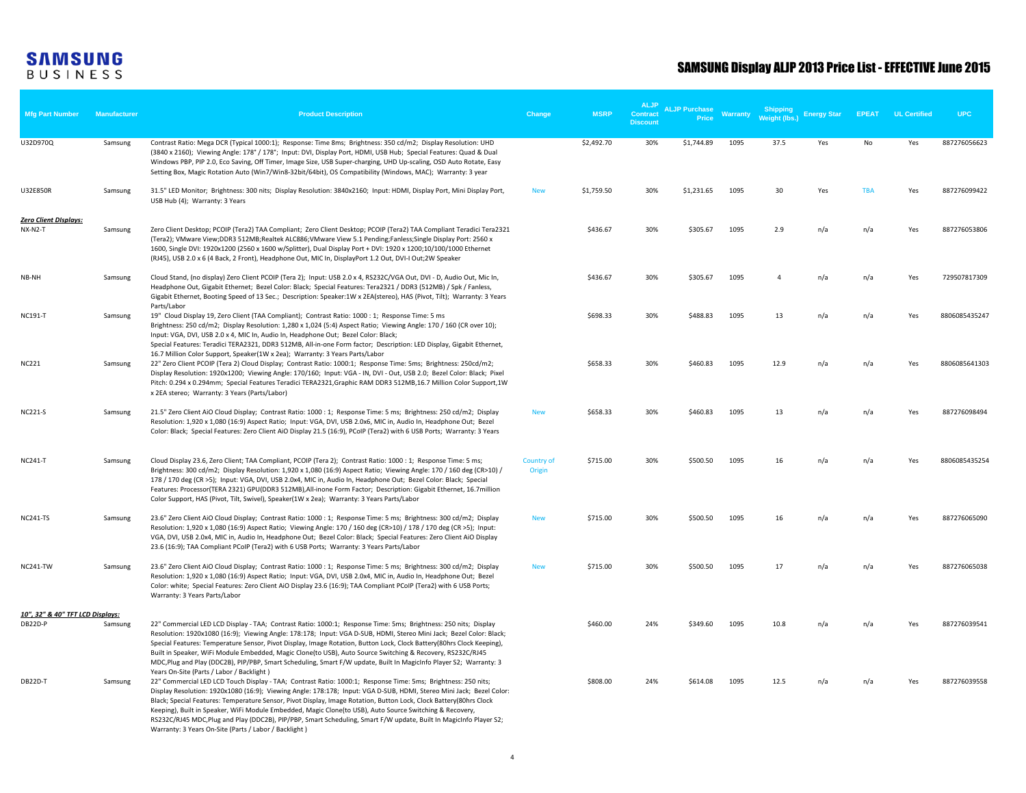| <b>Mfg Part Number</b>                      | <b>Manufacturer</b> | <b>Product Description</b>                                                                                                                                                                                                                                                                                                                                                                                                                                                                                                                                                                                                                             | Change               | <b>MSRP</b> | <b>ALJP</b><br>Contract<br><b>Discount</b> | <b>ALJP Purchase</b><br>Price | <b>Warranty</b> | <b>Shipping</b><br><b>Weight (lbs.)</b> | <b>Energy Star</b> | <b>EPEAT</b> | <b>UL Certified</b> | <b>UPC</b>    |
|---------------------------------------------|---------------------|--------------------------------------------------------------------------------------------------------------------------------------------------------------------------------------------------------------------------------------------------------------------------------------------------------------------------------------------------------------------------------------------------------------------------------------------------------------------------------------------------------------------------------------------------------------------------------------------------------------------------------------------------------|----------------------|-------------|--------------------------------------------|-------------------------------|-----------------|-----------------------------------------|--------------------|--------------|---------------------|---------------|
| U32D970Q                                    | Samsung             | Contrast Ratio: Mega DCR (Typical 1000:1); Response: Time 8ms; Brightness: 350 cd/m2; Display Resolution: UHD<br>(3840 x 2160); Viewing Angle: 178° / 178°; Input: DVI, Display Port, HDMI, USB Hub; Special Features: Quad & Dual<br>Windows PBP, PIP 2.0, Eco Saving, Off Timer, Image Size, USB Super-charging, UHD Up-scaling, OSD Auto Rotate, Easy<br>Setting Box, Magic Rotation Auto (Win7/Win8-32bit/64bit), OS Compatibility (Windows, MAC); Warranty: 3 year                                                                                                                                                                                |                      | \$2,492.70  | 30%                                        | \$1,744.89                    | 1095            | 37.5                                    | Yes                | No           | Yes                 | 887276056623  |
| U32E850R                                    | Samsung             | 31.5" LED Monitor; Brightness: 300 nits; Display Resolution: 3840x2160; Input: HDMI, Display Port, Mini Display Port,<br>USB Hub (4); Warranty: 3 Years                                                                                                                                                                                                                                                                                                                                                                                                                                                                                                | <b>New</b>           | \$1,759.50  | 30%                                        | \$1,231.65                    | 1095            | 30                                      | Yes                | <b>TBA</b>   | Yes                 | 887276099422  |
| <u> Zero Client DIsplays:</u><br>NX-N2-T    | Samsung             | Zero Client Desktop; PCOIP (Tera2) TAA Compliant; Zero Client Desktop; PCOIP (Tera2) TAA Compliant Teradici Tera2321<br>(Tera2); VMware View;DDR3 512MB;Realtek ALC886;VMware View 5.1 Pending;Fanless;Single Display Port: 2560 x<br>1600, Single DVI: 1920x1200 (2560 x 1600 w/Splitter), Dual Display Port + DVI: 1920 x 1200;10/100/1000 Ethernet<br>(RJ45), USB 2.0 x 6 (4 Back, 2 Front), Headphone Out, MIC In, DisplayPort 1.2 Out, DVI-I Out; 2W Speaker                                                                                                                                                                                      |                      | \$436.67    | 30%                                        | \$305.67                      | 1095            | 2.9                                     | n/a                | n/a          | Yes                 | 887276053806  |
| NB-NH                                       | Samsung             | Cloud Stand, (no display) Zero Client PCOIP (Tera 2); Input: USB 2.0 x 4, RS232C/VGA Out, DVI - D, Audio Out, Mic In,<br>Headphone Out, Gigabit Ethernet; Bezel Color: Black; Special Features: Tera2321 / DDR3 (512MB) / Spk / Fanless,<br>Gigabit Ethernet, Booting Speed of 13 Sec.; Description: Speaker:1W x 2EA(stereo), HAS (Pivot, Tilt); Warranty: 3 Years                                                                                                                                                                                                                                                                                    |                      | \$436.67    | 30%                                        | \$305.67                      | 1095            | $\overline{4}$                          | n/a                | n/a          | Yes                 | 729507817309  |
| NC191-T                                     | Samsung             | Parts/Labor<br>19" Cloud Display 19, Zero Client (TAA Compliant); Contrast Ratio: 1000 : 1; Response Time: 5 ms<br>Brightness: 250 cd/m2; Display Resolution: 1,280 x 1,024 (5:4) Aspect Ratio; Viewing Angle: 170 / 160 (CR over 10);<br>Input: VGA, DVI, USB 2.0 x 4, MIC In, Audio In, Headphone Out; Bezel Color: Black;<br>Special Features: Teradici TERA2321, DDR3 512MB, All-in-one Form factor; Description: LED Display, Gigabit Ethernet,                                                                                                                                                                                                   |                      | \$698.33    | 30%                                        | \$488.83                      | 1095            | 13                                      | n/a                | n/a          | Yes                 | 8806085435247 |
| <b>NC221</b>                                | Samsung             | 16.7 Million Color Support, Speaker(1W x 2ea); Warranty: 3 Years Parts/Labor<br>22" Zero Client PCOIP (Tera 2) Cloud Display; Contrast Ratio: 1000:1; Response Time: 5ms; Brightness: 250cd/m2;<br>Display Resolution: 1920x1200; Viewing Angle: 170/160; Input: VGA - IN, DVI - Out, USB 2.0; Bezel Color: Black; Pixel<br>Pitch: 0.294 x 0.294mm; Special Features Teradici TERA2321, Graphic RAM DDR3 512MB, 16.7 Million Color Support, 1W<br>x 2EA stereo; Warranty: 3 Years (Parts/Labor)                                                                                                                                                        |                      | \$658.33    | 30%                                        | \$460.83                      | 1095            | 12.9                                    | n/a                | n/a          | Yes                 | 8806085641303 |
| <b>NC221-S</b>                              | Samsung             | 21.5" Zero Client AiO Cloud Display; Contrast Ratio: 1000 : 1; Response Time: 5 ms; Brightness: 250 cd/m2; Display<br>Resolution: 1,920 x 1,080 (16:9) Aspect Ratio; Input: VGA, DVI, USB 2.0x6, MIC in, Audio In, Headphone Out; Bezel<br>Color: Black; Special Features: Zero Client AiO Display 21.5 (16:9), PCoIP (Tera2) with 6 USB Ports; Warranty: 3 Years                                                                                                                                                                                                                                                                                      | <b>New</b>           | \$658.33    | 30%                                        | \$460.83                      | 1095            | 13                                      | n/a                | n/a          | Yes                 | 887276098494  |
| <b>NC241-T</b>                              | Samsung             | Cloud Display 23.6, Zero Client; TAA Compliant, PCOIP (Tera 2); Contrast Ratio: 1000: 1; Response Time: 5 ms;<br>Brightness: 300 cd/m2; Display Resolution: 1,920 x 1,080 (16:9) Aspect Ratio; Viewing Angle: 170 / 160 deg (CR>10) /<br>178 / 170 deg (CR >5); Input: VGA, DVI, USB 2.0x4, MIC in, Audio In, Headphone Out; Bezel Color: Black; Special<br>Features: Processor(TERA 2321) GPU(DDR3 512MB), All-inone Form Factor; Description: Gigabit Ethernet, 16.7million<br>Color Support, HAS (Pivot, Tilt, Swivel), Speaker(1W x 2ea); Warranty: 3 Years Parts/Labor                                                                            | Country of<br>Origin | \$715.00    | 30%                                        | \$500.50                      | 1095            | 16                                      | n/a                | n/a          | Yes                 | 8806085435254 |
| <b>NC241-TS</b>                             | Samsung             | 23.6" Zero Client AiO Cloud Display; Contrast Ratio: 1000: 1; Response Time: 5 ms; Brightness: 300 cd/m2; Display<br>Resolution: 1,920 x 1,080 (16:9) Aspect Ratio; Viewing Angle: 170 / 160 deg (CR>10) / 178 / 170 deg (CR >5); Input:<br>VGA, DVI, USB 2.0x4, MIC in, Audio In, Headphone Out; Bezel Color: Black; Special Features: Zero Client AiO Display<br>23.6 (16:9); TAA Compliant PCoIP (Tera2) with 6 USB Ports; Warranty: 3 Years Parts/Labor                                                                                                                                                                                            | <b>New</b>           | \$715.00    | 30%                                        | \$500.50                      | 1095            | 16                                      | n/a                | n/a          | Yes                 | 887276065090  |
| <b>NC241-TW</b>                             | Samsung             | 23.6" Zero Client AiO Cloud Display; Contrast Ratio: 1000 : 1; Response Time: 5 ms; Brightness: 300 cd/m2; Display<br>Resolution: 1,920 x 1,080 (16:9) Aspect Ratio; Input: VGA, DVI, USB 2.0x4, MIC in, Audio In, Headphone Out; Bezel<br>Color: white; Special Features: Zero Client AiO Display 23.6 (16:9); TAA Compliant PCoIP (Tera2) with 6 USB Ports;<br>Warranty: 3 Years Parts/Labor                                                                                                                                                                                                                                                         | <b>New</b>           | \$715.00    | 30%                                        | \$500.50                      | 1095            | 17                                      | n/a                | n/a          | Yes                 | 887276065038  |
| 10", 32" & 40" TFT LCD Displays:<br>DB22D-P | Samsung             | 22" Commercial LED LCD Display - TAA; Contrast Ratio: 1000:1; Response Time: 5ms; Brightness: 250 nits; Display<br>Resolution: 1920x1080 (16:9); Viewing Angle: 178:178; Input: VGA D-SUB, HDMI, Stereo Mini Jack; Bezel Color: Black;<br>Special Features: Temperature Sensor, Pivot Display, Image Rotation, Button Lock, Clock Battery(80hrs Clock Keeping),<br>Built in Speaker, WiFi Module Embedded, Magic Clone(to USB), Auto Source Switching & Recovery, RS232C/RJ45<br>MDC, Plug and Play (DDC2B), PIP/PBP, Smart Scheduling, Smart F/W update, Built In MagicInfo Player S2; Warranty: 3<br>Years On-Site (Parts / Labor / Backlight)       |                      | \$460.00    | 24%                                        | \$349.60                      | 1095            | 10.8                                    | n/a                | n/a          | Yes                 | 887276039541  |
| DB22D-T                                     | Samsung             | 22" Commercial LED LCD Touch Display - TAA; Contrast Ratio: 1000:1; Response Time: 5ms; Brightness: 250 nits;<br>Display Resolution: 1920x1080 (16:9); Viewing Angle: 178:178; Input: VGA D-SUB, HDMI, Stereo Mini Jack; Bezel Color:<br>Black; Special Features: Temperature Sensor, Pivot Display, Image Rotation, Button Lock, Clock Battery(80hrs Clock<br>Keeping), Built in Speaker, WiFi Module Embedded, Magic Clone(to USB), Auto Source Switching & Recovery,<br>RS232C/RJ45 MDC, Plug and Play (DDC2B), PIP/PBP, Smart Scheduling, Smart F/W update, Built In MagicInfo Player S2;<br>Warranty: 3 Years On-Site (Parts / Labor / Backlight) |                      | \$808.00    | 24%                                        | \$614.08                      | 1095            | 12.5                                    | n/a                | n/a          | Yes                 | 887276039558  |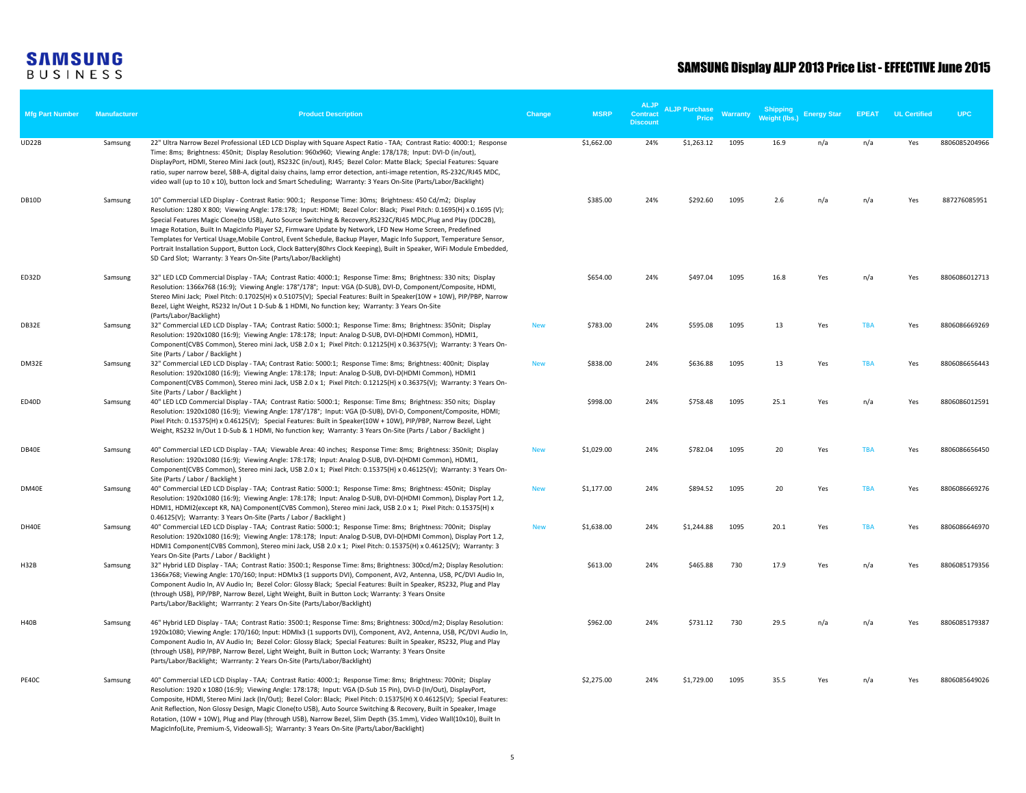| <b>Mfg Part Number</b> | Manufacturer | <b>Product Description</b>                                                                                                                                                                                                                                                                                                                                                                                                                                                                                                                                                                                                                                                                                                                                                             | Change     | <b>MSRP</b> | <b>ALJP</b><br>Contract<br><b>Discount</b> | <b>ALJP Purchase</b><br>Price | <b>Warranty</b> | Shipping<br><b>Weight (lbs.</b> | <b>Energy Star</b> | <b>EPEAT</b> | <b>UL Certified</b> | <b>UPC</b>    |
|------------------------|--------------|----------------------------------------------------------------------------------------------------------------------------------------------------------------------------------------------------------------------------------------------------------------------------------------------------------------------------------------------------------------------------------------------------------------------------------------------------------------------------------------------------------------------------------------------------------------------------------------------------------------------------------------------------------------------------------------------------------------------------------------------------------------------------------------|------------|-------------|--------------------------------------------|-------------------------------|-----------------|---------------------------------|--------------------|--------------|---------------------|---------------|
| UD22B                  | Samsung      | 22" Ultra Narrow Bezel Professional LED LCD Display with Square Aspect Ratio - TAA; Contrast Ratio: 4000:1; Response<br>Time: 8ms; Brightness: 450nit; Display Resolution: 960x960; Viewing Angle: 178/178; Input: DVI-D (in/out),<br>DisplayPort, HDMI, Stereo Mini Jack (out), RS232C (in/out), RJ45; Bezel Color: Matte Black; Special Features: Square<br>ratio, super narrow bezel, SBB-A, digital daisy chains, lamp error detection, anti-image retention, RS-232C/RJ45 MDC,<br>video wall (up to 10 x 10), button lock and Smart Scheduling; Warranty: 3 Years On-Site (Parts/Labor/Backlight)                                                                                                                                                                                 |            | \$1,662.00  | 24%                                        | \$1,263.12                    | 1095            | 16.9                            | n/a                | n/a          | Yes                 | 8806085204966 |
| DB10D                  | Samsung      | 10" Commercial LED Display - Contrast Ratio: 900:1; Response Time: 30ms; Brightness: 450 Cd/m2; Display<br>Resolution: 1280 X 800; Viewing Angle: 178:178; Input: HDMI; Bezel Color: Black; Pixel Pitch: 0.1695(H) x 0.1695 (V);<br>Special Features Magic Clone(to USB), Auto Source Switching & Recovery, RS232C/RJ45 MDC, Plug and Play (DDC2B),<br>Image Rotation, Built In MagicInfo Player S2, Firmware Update by Network, LFD New Home Screen, Predefined<br>Templates for Vertical Usage, Mobile Control, Event Schedule, Backup Player, Magic Info Support, Temperature Sensor,<br>Portrait Installation Support, Button Lock, Clock Battery(80hrs Clock Keeping), Built in Speaker, WiFi Module Embedded,<br>SD Card Slot; Warranty: 3 Years On-Site (Parts/Labor/Backlight) |            | \$385.00    | 24%                                        | \$292.60                      | 1095            | 2.6                             | n/a                | n/a          | Yes                 | 887276085951  |
| ED32D                  | Samsung      | 32" LED LCD Commercial Display - TAA; Contrast Ratio: 4000:1; Response Time: 8ms; Brightness: 330 nits; Display<br>Resolution: 1366x768 (16:9); Viewing Angle: 178°/178°; Input: VGA (D-SUB), DVI-D, Component/Composite, HDMI,<br>Stereo Mini Jack; Pixel Pitch: 0.17025(H) x 0.51075(V); Special Features: Built in Speaker(10W + 10W), PIP/PBP, Narrow<br>Bezel, Light Weight, RS232 In/Out 1 D-Sub & 1 HDMI, No function key; Warranty: 3 Years On-Site<br>(Parts/Labor/Backlight)                                                                                                                                                                                                                                                                                                 |            | \$654.00    | 24%                                        | \$497.04                      | 1095            | 16.8                            | Yes                | n/a          | Yes                 | 8806086012713 |
| DB32E                  | Samsung      | 32" Commercial LED LCD Display - TAA; Contrast Ratio: 5000:1; Response Time: 8ms; Brightness: 350nit; Display<br>Resolution: 1920x1080 (16:9); Viewing Angle: 178:178; Input: Analog D-SUB, DVI-D(HDMI Common), HDMI1,<br>Component(CVBS Common), Stereo mini Jack, USB 2.0 x 1; Pixel Pitch: 0.12125(H) x 0.36375(V); Warranty: 3 Years On-<br>Site (Parts / Labor / Backlight)                                                                                                                                                                                                                                                                                                                                                                                                       | <b>New</b> | \$783.00    | 24%                                        | \$595.08                      | 1095            | 13                              | Yes                | <b>TBA</b>   | Yes                 | 8806086669269 |
| DM32E                  | Samsung      | 32" Commercial LED LCD Display - TAA; Contrast Ratio: 5000:1; Response Time: 8ms; Brightness: 400nit; Display<br>Resolution: 1920x1080 (16:9); Viewing Angle: 178:178; Input: Analog D-SUB, DVI-D(HDMI Common), HDMI1<br>Component(CVBS Common), Stereo mini Jack, USB 2.0 x 1; Pixel Pitch: 0.12125(H) x 0.36375(V); Warranty: 3 Years On-<br>Site (Parts / Labor / Backlight)                                                                                                                                                                                                                                                                                                                                                                                                        | <b>New</b> | \$838.00    | 24%                                        | \$636.88                      | 1095            | 13                              | Yes                | <b>TBA</b>   | Yes                 | 8806086656443 |
| ED40D                  | Samsung      | 40" LED LCD Commercial Display - TAA; Contrast Ratio: 5000:1; Response: Time 8ms; Brightness: 350 nits; Display<br>Resolution: 1920x1080 (16:9); Viewing Angle: 178°/178°; Input: VGA (D-SUB), DVI-D, Component/Composite, HDMI;<br>Pixel Pitch: 0.15375(H) x 0.46125(V); Special Features: Built in Speaker(10W + 10W), PIP/PBP, Narrow Bezel, Light<br>Weight, RS232 In/Out 1 D-Sub & 1 HDMI, No function key; Warranty: 3 Years On-Site (Parts / Labor / Backlight)                                                                                                                                                                                                                                                                                                                 |            | \$998.00    | 24%                                        | \$758.48                      | 1095            | 25.1                            | Yes                | n/a          | Yes                 | 8806086012591 |
| DB40E                  | Samsung      | 40" Commercial LED LCD Display - TAA; Viewable Area: 40 inches; Response Time: 8ms; Brightness: 350nit; Display<br>Resolution: 1920x1080 (16:9); Viewing Angle: 178:178; Input: Analog D-SUB, DVI-D(HDMI Common), HDMI1,<br>Component(CVBS Common), Stereo mini Jack, USB 2.0 x 1; Pixel Pitch: 0.15375(H) x 0.46125(V); Warranty: 3 Years On-<br>Site (Parts / Labor / Backlight)                                                                                                                                                                                                                                                                                                                                                                                                     | <b>New</b> | \$1,029.00  | 24%                                        | \$782.04                      | 1095            | 20                              | Yes                | <b>TBA</b>   | Yes                 | 8806086656450 |
| DM40F                  | Samsung      | 40" Commercial LED LCD Display - TAA; Contrast Ratio: 5000:1; Response Time: 8ms; Brightness: 450nit; Display<br>Resolution: 1920x1080 (16:9); Viewing Angle: 178:178; Input: Analog D-SUB, DVI-D(HDMI Common), Display Port 1.2,<br>HDMI1, HDMI2(except KR, NA) Component(CVBS Common), Stereo mini Jack, USB 2.0 x 1; Pixel Pitch: 0.15375(H) x<br>0.46125(V); Warranty: 3 Years On-Site (Parts / Labor / Backlight)                                                                                                                                                                                                                                                                                                                                                                 | <b>New</b> | \$1,177.00  | 24%                                        | \$894.52                      | 1095            | 20                              | Yes                | TBA          | Yes                 | 8806086669276 |
| DH40F                  | Samsung      | 40" Commercial LED LCD Display - TAA; Contrast Ratio: 5000:1; Response Time: 8ms; Brightness: 700nit; Display<br>Resolution: 1920x1080 (16:9); Viewing Angle: 178:178; Input: Analog D-SUB, DVI-D(HDMI Common), Display Port 1.2,<br>HDMI1 Component(CVBS Common), Stereo mini Jack, USB 2.0 x 1; Pixel Pitch: 0.15375(H) x 0.46125(V); Warranty: 3<br>Years On-Site (Parts / Labor / Backlight)                                                                                                                                                                                                                                                                                                                                                                                       | <b>New</b> | \$1,638.00  | 24%                                        | \$1,244.88                    | 1095            | 20.1                            | Yes                | <b>TBA</b>   | Yes                 | 8806086646970 |
| <b>H32B</b>            | Samsung      | 32" Hybrid LED Display - TAA; Contrast Ratio: 3500:1; Response Time: 8ms; Brightness: 300cd/m2; Display Resolution:<br>1366x768; Viewing Angle: 170/160; Input: HDMIx3 (1 supports DVI), Component, AV2, Antenna, USB, PC/DVI Audio In,<br>Component Audio In, AV Audio In; Bezel Color: Glossy Black; Special Features: Built in Speaker, RS232, Plug and Play<br>(through USB), PIP/PBP, Narrow Bezel, Light Weight, Built in Button Lock; Warranty: 3 Years Onsite<br>Parts/Labor/Backlight; Warrranty: 2 Years On-Site (Parts/Labor/Backlight)                                                                                                                                                                                                                                     |            | \$613.00    | 24%                                        | \$465.88                      | 730             | 17.9                            | Yes                | n/a          | Yes                 | 8806085179356 |
| H40B                   | Samsung      | 46" Hybrid LED Display - TAA; Contrast Ratio: 3500:1; Response Time: 8ms; Brightness: 300cd/m2; Display Resolution:<br>1920x1080; Viewing Angle: 170/160; Input: HDMIx3 (1 supports DVI), Component, AV2, Antenna, USB, PC/DVI Audio In,<br>Component Audio In, AV Audio In; Bezel Color: Glossy Black; Special Features: Built in Speaker, RS232, Plug and Play<br>(through USB), PIP/PBP, Narrow Bezel, Light Weight, Built in Button Lock; Warranty: 3 Years Onsite<br>Parts/Labor/Backlight; Warrranty: 2 Years On-Site (Parts/Labor/Backlight)                                                                                                                                                                                                                                    |            | \$962.00    | 24%                                        | \$731.12                      | 730             | 29.5                            | n/a                | n/a          | Yes                 | 8806085179387 |
| <b>PE40C</b>           | Samsung      | 40" Commercial LED LCD Display - TAA; Contrast Ratio: 4000:1; Response Time: 8ms; Brightness: 700nit; Display<br>Resolution: 1920 x 1080 (16:9); Viewing Angle: 178:178; Input: VGA (D-Sub 15 Pin), DVI-D (In/Out), DisplayPort,<br>Composite, HDMI, Stereo Mini Jack (In/Out); Bezel Color: Black; Pixel Pitch: 0.15375(H) X 0.46125(V); Special Features:<br>Anit Reflection, Non Glossy Design, Magic Clone(to USB), Auto Source Switching & Recovery, Built in Speaker, Image<br>Rotation, (10W + 10W), Plug and Play (through USB), Narrow Bezel, Slim Depth (35.1mm), Video Wall(10x10), Built In<br>MagicInfo(Lite, Premium-S, Videowall-S); Warranty: 3 Years On-Site (Parts/Labor/Backlight)                                                                                  |            | \$2,275.00  | 24%                                        | \$1,729.00                    | 1095            | 35.5                            | Yes                | n/a          | Yes                 | 8806085649026 |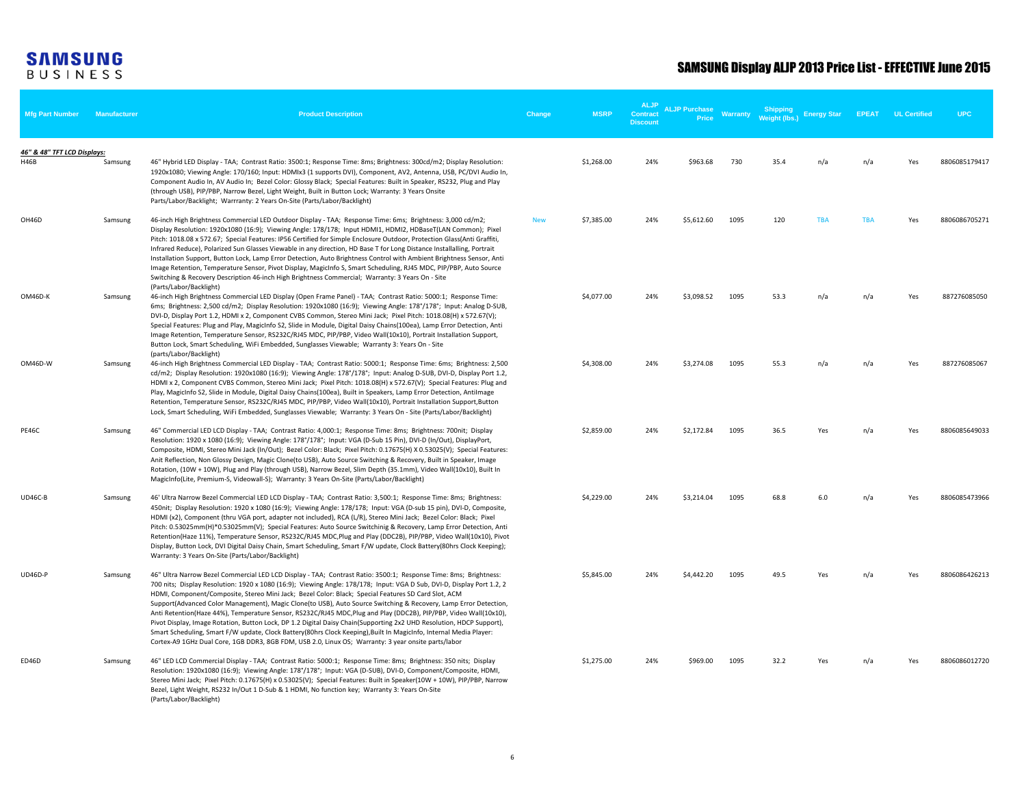| <b>Mfg Part Number</b>                     | <b>Manufacturer</b> | <b>Product Description</b>                                                                                                                                                                                                                                                                                                                                                                                                                                                                                                                                                                                                                                                                                                                                                                                                                                                                                                                      | Change     | <b>MSRP</b> | <b>ALJP</b><br><b>Contract</b><br><b>Discount</b> | <b>ALJP Purchase</b><br>Price | Warranty | Shipping<br>Weight (lbs.) | <b>Energy Star</b> | <b>EPEAT</b> | <b>UL Certified</b> | <b>UPC</b>    |
|--------------------------------------------|---------------------|-------------------------------------------------------------------------------------------------------------------------------------------------------------------------------------------------------------------------------------------------------------------------------------------------------------------------------------------------------------------------------------------------------------------------------------------------------------------------------------------------------------------------------------------------------------------------------------------------------------------------------------------------------------------------------------------------------------------------------------------------------------------------------------------------------------------------------------------------------------------------------------------------------------------------------------------------|------------|-------------|---------------------------------------------------|-------------------------------|----------|---------------------------|--------------------|--------------|---------------------|---------------|
| 46" & 48" TFT LCD Displays:<br><b>H46B</b> | Samsung             | 46" Hybrid LED Display - TAA; Contrast Ratio: 3500:1; Response Time: 8ms; Brightness: 300cd/m2; Display Resolution:<br>1920x1080; Viewing Angle: 170/160; Input: HDMIx3 (1 supports DVI), Component, AV2, Antenna, USB, PC/DVI Audio In,<br>Component Audio In, AV Audio In; Bezel Color: Glossy Black; Special Features: Built in Speaker, RS232, Plug and Play<br>(through USB), PIP/PBP, Narrow Bezel, Light Weight, Built in Button Lock; Warranty: 3 Years Onsite<br>Parts/Labor/Backlight; Warrranty: 2 Years On-Site (Parts/Labor/Backlight)                                                                                                                                                                                                                                                                                                                                                                                             |            | \$1,268.00  | 24%                                               | \$963.68                      | 730      | 35.4                      | n/a                | n/a          | Yes                 | 8806085179417 |
| OH46D                                      | Samsung             | 46-inch High Brightness Commercial LED Outdoor Display - TAA; Response Time: 6ms; Brightness: 3,000 cd/m2;<br>Display Resolution: 1920x1080 (16:9); Viewing Angle: 178/178; Input HDMI1, HDMI2, HDBaseT(LAN Common); Pixel<br>Pitch: 1018.08 x 572.67; Special Features: IP56 Certified for Simple Enclosure Outdoor, Protection Glass(Anti Graffiti,<br>Infrared Reduce), Polarized Sun Glasses Viewable in any direction, HD Base T for Long Distance Installalling, Portrait<br>Installation Support, Button Lock, Lamp Error Detection, Auto Brightness Control with Ambient Brightness Sensor, Anti<br>Image Retention, Temperature Sensor, Pivot Display, MagicInfo S, Smart Scheduling, RJ45 MDC, PIP/PBP, Auto Source<br>Switching & Recovery Description 46-inch High Brightness Commercial; Warranty: 3 Years On - Site<br>(Parts/Labor/Backlight)                                                                                    | <b>New</b> | \$7,385.00  | 24%                                               | \$5,612.60                    | 1095     | 120                       | <b>TBA</b>         | <b>TBA</b>   | Yes                 | 8806086705271 |
| OM46D-K                                    | Samsung             | 46-inch High Brightness Commercial LED Display (Open Frame Panel) - TAA; Contrast Ratio: 5000:1; Response Time:<br>6ms; Brightness: 2,500 cd/m2; Display Resolution: 1920x1080 (16:9); Viewing Angle: 178°/178°; Input: Analog D-SUB,<br>DVI-D, Display Port 1.2, HDMI x 2, Component CVBS Common, Stereo Mini Jack; Pixel Pitch: 1018.08(H) x 572.67(V);<br>Special Features: Plug and Play, MagicInfo S2, Slide in Module, Digital Daisy Chains(100ea), Lamp Error Detection, Anti<br>Image Retention, Temperature Sensor, RS232C/RJ45 MDC, PIP/PBP, Video Wall(10x10), Portrait Installation Support,<br>Button Lock, Smart Scheduling, WiFi Embedded, Sunglasses Viewable; Warranty 3: Years On - Site<br>(parts/Labor/Backlight)                                                                                                                                                                                                           |            | \$4,077.00  | 24%                                               | \$3,098.52                    | 1095     | 53.3                      | n/a                | n/a          | Yes                 | 887276085050  |
| OM46D-W                                    | Samsung             | 46-inch High Brightness Commercial LED Display - TAA; Contrast Ratio: 5000:1; Response Time: 6ms; Brightness: 2,500<br>cd/m2; Display Resolution: 1920x1080 (16:9); Viewing Angle: 178°/178°; Input: Analog D-SUB, DVI-D, Display Port 1.2,<br>HDMI x 2, Component CVBS Common, Stereo Mini Jack; Pixel Pitch: 1018.08(H) x 572.67(V); Special Features: Plug and<br>Play, MagicInfo S2, Slide in Module, Digital Daisy Chains(100ea), Built in Speakers, Lamp Error Detection, Antilmage<br>Retention, Temperature Sensor, RS232C/RJ45 MDC, PIP/PBP, Video Wall(10x10), Portrait Installation Support, Button<br>Lock, Smart Scheduling, WiFi Embedded, Sunglasses Viewable; Warranty: 3 Years On - Site (Parts/Labor/Backlight)                                                                                                                                                                                                               |            | \$4,308.00  | 24%                                               | \$3,274.08                    | 1095     | 55.3                      | n/a                | n/a          | Yes                 | 887276085067  |
| <b>PE46C</b>                               | Samsung             | 46" Commercial LED LCD Display - TAA; Contrast Ratio: 4,000:1; Response Time: 8ms; Brightness: 700nit; Display<br>Resolution: 1920 x 1080 (16:9); Viewing Angle: 178°/178°; Input: VGA (D-Sub 15 Pin), DVI-D (In/Out), DisplayPort,<br>Composite, HDMI, Stereo Mini Jack (In/Out); Bezel Color: Black; Pixel Pitch: 0.17675(H) X 0.53025(V); Special Features:<br>Anit Reflection, Non Glossy Design, Magic Clone(to USB), Auto Source Switching & Recovery, Built in Speaker, Image<br>Rotation, (10W + 10W), Plug and Play (through USB), Narrow Bezel, Slim Depth (35.1mm), Video Wall(10x10), Built In<br>MagicInfo(Lite, Premium-S, Videowall-S); Warranty: 3 Years On-Site (Parts/Labor/Backlight)                                                                                                                                                                                                                                        |            | \$2,859.00  | 24%                                               | \$2,172.84                    | 1095     | 36.5                      | Yes                | n/a          | Yes                 | 8806085649033 |
| <b>UD46C-B</b>                             | Samsung             | 46' Ultra Narrow Bezel Commercial LED LCD Display - TAA; Contrast Ratio: 3,500:1; Response Time: 8ms; Brightness:<br>450nit; Display Resolution: 1920 x 1080 (16:9); Viewing Angle: 178/178; Input: VGA (D-sub 15 pin), DVI-D, Composite,<br>HDMI (x2), Component (thru VGA port, adapter not included), RCA (L/R), Stereo Mini Jack; Bezel Color: Black; Pixel<br>Pitch: 0.53025mm(H)*0.53025mm(V); Special Features: Auto Source Switchinig & Recovery, Lamp Error Detection, Anti<br>Retention(Haze 11%), Temperature Sensor, RS232C/RJ45 MDC,Plug and Play (DDC2B), PIP/PBP, Video Wall(10x10), Pivot<br>Display, Button Lock, DVI Digital Daisy Chain, Smart Scheduling, Smart F/W update, Clock Battery(80hrs Clock Keeping);<br>Warranty: 3 Years On-Site (Parts/Labor/Backlight)                                                                                                                                                        |            | \$4,229.00  | 24%                                               | \$3,214.04                    | 1095     | 68.8                      | 6.0                | n/a          | Yes                 | 8806085473966 |
| UD46D-P                                    | Samsung             | 46" Ultra Narrow Bezel Commercial LED LCD Display - TAA; Contrast Ratio: 3500:1; Response Time: 8ms; Brightness:<br>700 nits; Display Resolution: 1920 x 1080 (16:9); Viewing Angle: 178/178; Input: VGA D Sub, DVI-D, Display Port 1.2, 2<br>HDMI, Component/Composite, Stereo Mini Jack; Bezel Color: Black; Special Features SD Card Slot, ACM<br>Support(Advanced Color Management), Magic Clone(to USB), Auto Source Switching & Recovery, Lamp Error Detection,<br>Anti Retention(Haze 44%), Temperature Sensor, RS232C/RJ45 MDC, Plug and Play (DDC2B), PIP/PBP, Video Wall(10x10),<br>Pivot Display, Image Rotation, Button Lock, DP 1.2 Digital Daisy Chain(Supporting 2x2 UHD Resolution, HDCP Support),<br>Smart Scheduling, Smart F/W update, Clock Battery(80hrs Clock Keeping), Built In MagicInfo, Internal Media Player:<br>Cortex-A9 1GHz Dual Core, 1GB DDR3, 8GB FDM, USB 2.0, Linux OS; Warranty: 3 year onsite parts/labor |            | \$5,845.00  | 24%                                               | \$4,442.20                    | 1095     | 49.5                      | Yes                | n/a          | Yes                 | 8806086426213 |
| ED46D                                      | Samsung             | 46" LED LCD Commercial Display - TAA; Contrast Ratio: 5000:1; Response Time: 8ms; Brightness: 350 nits; Display<br>Resolution: 1920x1080 (16:9); Viewing Angle: 178°/178°; Input: VGA (D-SUB), DVI-D, Component/Composite, HDMI,<br>Stereo Mini Jack; Pixel Pitch: 0.17675(H) x 0.53025(V); Special Features: Built in Speaker(10W + 10W), PIP/PBP, Narrow<br>Bezel, Light Weight, RS232 In/Out 1 D-Sub & 1 HDMI, No function key; Warranty 3: Years On-Site<br>(Parts/Labor/Backlight)                                                                                                                                                                                                                                                                                                                                                                                                                                                         |            | \$1,275.00  | 24%                                               | \$969.00                      | 1095     | 32.2                      | Yes                | n/a          | Yes                 | 8806086012720 |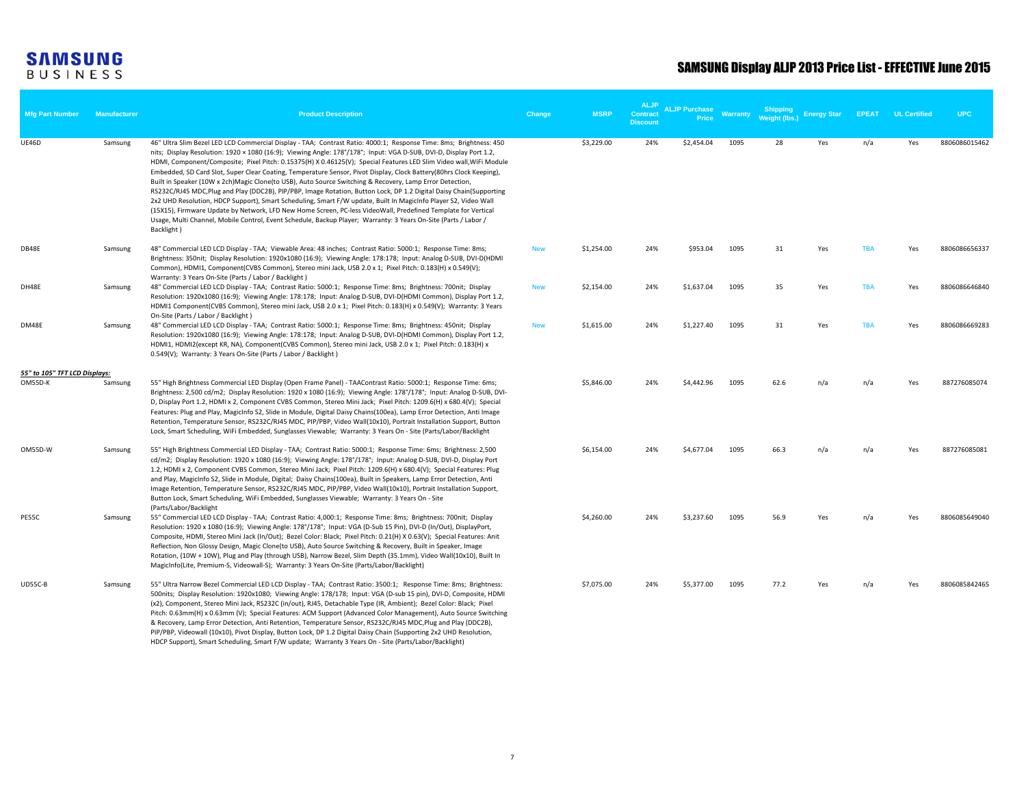| Mfg Part Number               | <b>Manufacturer</b> | <b>Product Description</b>                                                                                                                                                                                                                                                                                                                                                                                                                                                                                                                                                                                                                                                                                                                                                                                                                                                                                                                                                                                                                                                                   | Change     | <b>MSRP</b> | <b>ALJP</b><br><b>Contract</b><br><b>Discount</b> | <b>ALJP Purchase</b><br>Price | Warranty | <b>Shipping</b><br>Weight (lbs.) | <b>Energy Star</b> | <b>EPEAT</b> | <b>UL Certified</b> | <b>UPC</b>    |
|-------------------------------|---------------------|----------------------------------------------------------------------------------------------------------------------------------------------------------------------------------------------------------------------------------------------------------------------------------------------------------------------------------------------------------------------------------------------------------------------------------------------------------------------------------------------------------------------------------------------------------------------------------------------------------------------------------------------------------------------------------------------------------------------------------------------------------------------------------------------------------------------------------------------------------------------------------------------------------------------------------------------------------------------------------------------------------------------------------------------------------------------------------------------|------------|-------------|---------------------------------------------------|-------------------------------|----------|----------------------------------|--------------------|--------------|---------------------|---------------|
| UE46D                         | Samsung             | 46" Ultra Slim Bezel LED LCD Commercial Display - TAA; Contrast Ratio: 4000:1; Response Time: 8ms; Brightness: 450<br>nits; Display Resolution: 1920 × 1080 (16:9); Viewing Angle: 178°/178°; Input: VGA D-SUB, DVI-D, Display Port 1.2,<br>HDMI, Component/Composite; Pixel Pitch: 0.15375(H) X 0.46125(V); Special Features LED Slim Video wall, WiFi Module<br>Embedded, SD Card Slot, Super Clear Coating, Temperature Sensor, Pivot Display, Clock Battery(80hrs Clock Keeping),<br>Built in Speaker (10W x 2ch)Magic Clone(to USB), Auto Source Switching & Recovery, Lamp Error Detection,<br>RS232C/RJ45 MDC,Plug and Play (DDC2B), PIP/PBP, Image Rotation, Button Lock, DP 1.2 Digital Daisy Chain(Supporting<br>2x2 UHD Resolution, HDCP Support), Smart Scheduling, Smart F/W update, Built In MagicInfo Player S2, Video Wall<br>(15X15), Firmware Update by Network, LFD New Home Screen, PC-less VideoWall, Predefined Template for Vertical<br>Usage, Multi Channel, Mobile Control, Event Schedule, Backup Player; Warranty: 3 Years On-Site (Parts / Labor /<br>Backlight) |            | \$3,229.00  | 24%                                               | \$2,454.04                    | 1095     | 28                               | Yes                | n/a          | Yes                 | 8806086015462 |
| DB48E                         | Samsung             | 48" Commercial LED LCD Display - TAA; Viewable Area: 48 inches; Contrast Ratio: 5000:1; Response Time: 8ms;<br>Brightness: 350nit; Display Resolution: 1920x1080 (16:9); Viewing Angle: 178:178; Input: Analog D-SUB, DVI-D(HDMI<br>Common), HDMI1, Component(CVBS Common), Stereo mini Jack, USB 2.0 x 1; Pixel Pitch: 0.183(H) x 0.549(V);<br>Warranty: 3 Years On-Site (Parts / Labor / Backlight)                                                                                                                                                                                                                                                                                                                                                                                                                                                                                                                                                                                                                                                                                        | <b>New</b> | \$1,254.00  | 24%                                               | \$953.04                      | 1095     | 31                               | Yes                | <b>TBA</b>   | Yes                 | 8806086656337 |
| DH48E                         | Samsung             | 48" Commercial LED LCD Display - TAA; Contrast Ratio: 5000:1; Response Time: 8ms; Brightness: 700nit; Display<br>Resolution: 1920x1080 (16:9); Viewing Angle: 178:178; Input: Analog D-SUB, DVI-D(HDMI Common), Display Port 1.2,<br>HDMI1 Component(CVBS Common), Stereo mini Jack, USB 2.0 x 1; Pixel Pitch: 0.183(H) x 0.549(V); Warranty: 3 Years<br>On-Site (Parts / Labor / Backlight)                                                                                                                                                                                                                                                                                                                                                                                                                                                                                                                                                                                                                                                                                                 | <b>New</b> | \$2,154.00  | 24%                                               | \$1,637.04                    | 1095     | 35                               | Yes                | <b>TBA</b>   | Yes                 | 8806086646840 |
| DM48E                         | Samsung             | 48" Commercial LED LCD Display - TAA; Contrast Ratio: 5000:1; Response Time: 8ms; Brightness: 450nit; Display<br>Resolution: 1920x1080 (16:9); Viewing Angle: 178:178; Input: Analog D-SUB, DVI-D(HDMI Common), Display Port 1.2,<br>HDMI1, HDMI2(except KR, NA), Component(CVBS Common), Stereo mini Jack, USB 2.0 x 1; Pixel Pitch: 0.183(H) x<br>0.549(V); Warranty: 3 Years On-Site (Parts / Labor / Backlight)                                                                                                                                                                                                                                                                                                                                                                                                                                                                                                                                                                                                                                                                          | <b>New</b> | \$1,615.00  | 24%                                               | \$1,227.40                    | 1095     | 31                               | Yes                | <b>TBA</b>   | Yes                 | 8806086669283 |
| 55" to 105" TFT LCD Displays: |                     |                                                                                                                                                                                                                                                                                                                                                                                                                                                                                                                                                                                                                                                                                                                                                                                                                                                                                                                                                                                                                                                                                              |            |             |                                                   |                               |          |                                  |                    |              |                     |               |
| OM55D-K                       | Samsung             | 55" High Brightness Commercial LED Display (Open Frame Panel) - TAAContrast Ratio: 5000:1; Response Time: 6ms;<br>Brightness: 2,500 cd/m2; Display Resolution: 1920 x 1080 (16:9); Viewing Angle: 178°/178°; Input: Analog D-SUB, DVI-<br>D, Display Port 1.2, HDMI x 2, Component CVBS Common, Stereo Mini Jack; Pixel Pitch: 1209.6(H) x 680.4(V); Special<br>Features: Plug and Play, MagicInfo S2, Slide in Module, Digital Daisy Chains(100ea), Lamp Error Detection, Anti Image<br>Retention, Temperature Sensor, RS232C/RJ45 MDC, PIP/PBP, Video Wall(10x10), Portrait Installation Support, Button<br>Lock, Smart Scheduling, WiFi Embedded, Sunglasses Viewable; Warranty: 3 Years On - Site (Parts/Labor/Backlight                                                                                                                                                                                                                                                                                                                                                                 |            | \$5,846.00  | 24%                                               | \$4,442.96                    | 1095     | 62.6                             | n/a                | n/a          | Yes                 | 887276085074  |
| OM55D-W                       | Samsung             | 55" High Brightness Commercial LED Display - TAA; Contrast Ratio: 5000:1; Response Time: 6ms; Brightness: 2,500<br>cd/m2; Display Resolution: 1920 x 1080 (16:9); Viewing Angle: 178°/178°; Input: Analog D-SUB, DVI-D, Display Port<br>1.2, HDMI x 2, Component CVBS Common, Stereo Mini Jack; Pixel Pitch: 1209.6(H) x 680.4(V); Special Features: Plug<br>and Play, MagicInfo S2, Slide in Module, Digital; Daisy Chains(100ea), Built in Speakers, Lamp Error Detection, Anti<br>Image Retention, Temperature Sensor, RS232C/RJ45 MDC, PIP/PBP, Video Wall(10x10), Portrait Installation Support,<br>Button Lock, Smart Scheduling, WiFi Embedded, Sunglasses Viewable; Warranty: 3 Years On - Site<br>(Parts/Labor/Backlight                                                                                                                                                                                                                                                                                                                                                            |            | \$6,154.00  | 24%                                               | \$4,677.04                    | 1095     | 66.3                             | n/a                | n/a          | Yes                 | 887276085081  |
| PE55C                         | Samsung             | 55" Commercial LED LCD Display - TAA; Contrast Ratio: 4,000:1; Response Time: 8ms; Brightness: 700nit; Display<br>Resolution: 1920 x 1080 (16:9); Viewing Angle: 178°/178°; Input: VGA (D-Sub 15 Pin), DVI-D (In/Out), DisplayPort,<br>Composite, HDMI, Stereo Mini Jack (In/Out); Bezel Color: Black; Pixel Pitch: 0.21(H) X 0.63(V); Special Features: Anit<br>Reflection, Non Glossy Design, Magic Clone(to USB), Auto Source Switching & Recovery, Built in Speaker, Image<br>Rotation, (10W + 10W), Plug and Play (through USB), Narrow Bezel, Slim Depth (35.1mm), Video Wall(10x10), Built In<br>MagicInfo(Lite, Premium-S, Videowall-S); Warranty: 3 Years On-Site (Parts/Labor/Backlight)                                                                                                                                                                                                                                                                                                                                                                                           |            | \$4,260.00  | 24%                                               | \$3,237.60                    | 1095     | 56.9                             | Yes                | n/a          | Yes                 | 8806085649040 |
| <b>UD55C-B</b>                | Samsung             | 55" Ultra Narrow Bezel Commercial LED LCD Display - TAA; Contrast Ratio: 3500:1; Response Time: 8ms; Brightness:<br>500nits; Display Resolution: 1920x1080; Viewing Angle: 178/178; Input: VGA (D-sub 15 pin), DVI-D, Composite, HDMI<br>(x2), Component, Stereo Mini Jack, RS232C (in/out), RJ45, Detachable Type (IR, Ambient); Bezel Color: Black; Pixel<br>Pitch: 0.63mm(H) x 0.63mm (V); Special Features: ACM Support (Advanced Color Management), Auto Source Switching<br>& Recovery, Lamp Error Detection, Anti Retention, Temperature Sensor, RS232C/RJ45 MDC, Plug and Play (DDC2B),<br>PIP/PBP, Videowall (10x10), Pivot Display, Button Lock, DP 1.2 Digital Daisy Chain (Supporting 2x2 UHD Resolution,<br>HDCP Support), Smart Scheduling, Smart F/W update; Warranty 3 Years On - Site (Parts/Labor/Backlight)                                                                                                                                                                                                                                                               |            | \$7,075.00  | 24%                                               | \$5,377.00                    | 1095     | 77.2                             | Yes                | n/a          | Yes                 | 8806085842465 |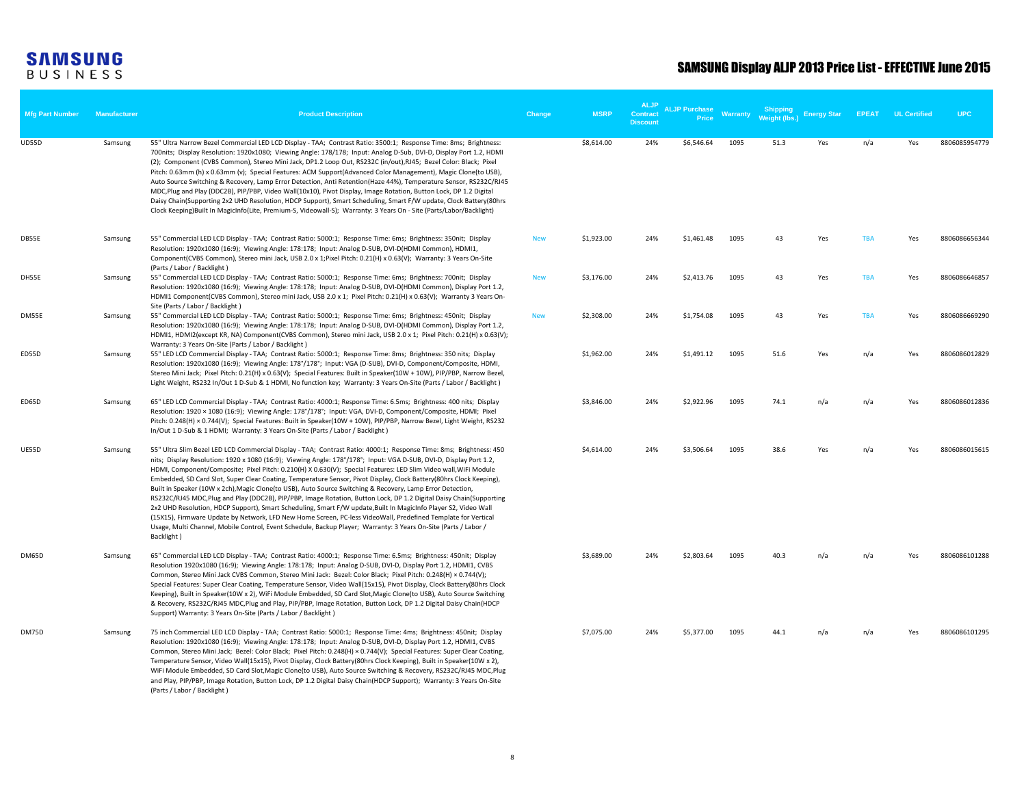| <b>Mfg Part Number</b> | <b>Manufacturer</b> | <b>Product Description</b>                                                                                                                                                                                                                                                                                                                                                                                                                                                                                                                                                                                                                                                                                                                                                                                                                                                                                                                                                                                                                                                                   | Change     | <b>MSRP</b> | <b>ALJP</b><br><b>Contract</b><br><b>Discount</b> | <b>ALJP Purchase</b><br><b>Price</b> | Warranty | Weight (lbs. | <b>Energy Star</b> | <b>FPFAT</b> | <b>UL Certified</b> | <b>UPC</b>    |
|------------------------|---------------------|----------------------------------------------------------------------------------------------------------------------------------------------------------------------------------------------------------------------------------------------------------------------------------------------------------------------------------------------------------------------------------------------------------------------------------------------------------------------------------------------------------------------------------------------------------------------------------------------------------------------------------------------------------------------------------------------------------------------------------------------------------------------------------------------------------------------------------------------------------------------------------------------------------------------------------------------------------------------------------------------------------------------------------------------------------------------------------------------|------------|-------------|---------------------------------------------------|--------------------------------------|----------|--------------|--------------------|--------------|---------------------|---------------|
| <b>UD55D</b>           | Samsung             | 55" Ultra Narrow Bezel Commercial LED LCD Display - TAA; Contrast Ratio: 3500:1; Response Time: 8ms; Brightness:<br>700nits; Display Resolution: 1920x1080; Viewing Angle: 178/178; Input: Analog D-Sub, DVI-D, Display Port 1.2, HDMI<br>(2); Component (CVBS Common), Stereo Mini Jack, DP1.2 Loop Out, RS232C (in/out), RJ45; Bezel Color: Black; Pixel<br>Pitch: 0.63mm (h) x 0.63mm (v); Special Features: ACM Support(Advanced Color Management), Magic Clone(to USB),<br>Auto Source Switching & Recovery, Lamp Error Detection, Anti Retention(Haze 44%), Temperature Sensor, RS232C/RJ45<br>MDC, Plug and Play (DDC2B), PIP/PBP, Video Wall(10x10), Pivot Display, Image Rotation, Button Lock, DP 1.2 Digital<br>Daisy Chain(Supporting 2x2 UHD Resolution, HDCP Support), Smart Scheduling, Smart F/W update, Clock Battery(80hrs<br>Clock Keeping)Built In MagicInfo(Lite, Premium-S, Videowall-S); Warranty: 3 Years On - Site (Parts/Labor/Backlight)                                                                                                                          |            | \$8,614.00  | 24%                                               | \$6,546.64                           | 1095     | 51.3         | Yes                | n/a          | Yes                 | 8806085954779 |
| DB55E                  | Samsung             | 55" Commercial LED LCD Display - TAA; Contrast Ratio: 5000:1; Response Time: 6ms; Brightness: 350nit; Display<br>Resolution: 1920x1080 (16:9); Viewing Angle: 178:178; Input: Analog D-SUB, DVI-D(HDMI Common), HDMI1,<br>Component(CVBS Common), Stereo mini Jack, USB 2.0 x 1; Pixel Pitch: 0.21(H) x 0.63(V); Warranty: 3 Years On-Site                                                                                                                                                                                                                                                                                                                                                                                                                                                                                                                                                                                                                                                                                                                                                   | <b>New</b> | \$1,923.00  | 24%                                               | \$1,461.48                           | 1095     | 43           | Yes                | <b>TBA</b>   | Yes                 | 8806086656344 |
| DH55E                  | Samsung             | (Parts / Labor / Backlight)<br>55" Commercial LED LCD Display - TAA; Contrast Ratio: 5000:1; Response Time: 6ms; Brightness: 700nit; Display<br>Resolution: 1920x1080 (16:9); Viewing Angle: 178:178; Input: Analog D-SUB, DVI-D(HDMI Common), Display Port 1.2,<br>HDMI1 Component(CVBS Common), Stereo mini Jack, USB 2.0 x 1; Pixel Pitch: 0.21(H) x 0.63(V); Warranty 3 Years On-<br>Site (Parts / Labor / Backlight)                                                                                                                                                                                                                                                                                                                                                                                                                                                                                                                                                                                                                                                                    | <b>New</b> | \$3,176.00  | 24%                                               | \$2,413.76                           | 1095     | 43           | Yes                | <b>TBA</b>   | Yes                 | 8806086646857 |
| DM55E                  | Samsung             | 55" Commercial LED LCD Display - TAA; Contrast Ratio: 5000:1; Response Time: 6ms; Brightness: 450nit; Display<br>Resolution: 1920x1080 (16:9); Viewing Angle: 178:178; Input: Analog D-SUB, DVI-D(HDMI Common), Display Port 1.2,<br>HDMI1, HDMI2(except KR, NA) Component(CVBS Common), Stereo mini Jack, USB 2.0 x 1; Pixel Pitch: 0.21(H) x 0.63(V);<br>Warranty: 3 Years On-Site (Parts / Labor / Backlight)                                                                                                                                                                                                                                                                                                                                                                                                                                                                                                                                                                                                                                                                             | <b>New</b> | \$2,308.00  | 24%                                               | \$1,754.08                           | 1095     | 43           | Yes                | <b>TBA</b>   | Yes                 | 8806086669290 |
| ED55D                  | Samsung             | 55" LED LCD Commercial Display - TAA; Contrast Ratio: 5000:1; Response Time: 8ms; Brightness: 350 nits; Display<br>Resolution: 1920x1080 (16:9); Viewing Angle: 178°/178°; Input: VGA (D-SUB), DVI-D, Component/Composite, HDMI,<br>Stereo Mini Jack; Pixel Pitch: 0.21(H) x 0.63(V); Special Features: Built in Speaker(10W + 10W), PIP/PBP, Narrow Bezel,<br>Light Weight, RS232 In/Out 1 D-Sub & 1 HDMI, No function key; Warranty: 3 Years On-Site (Parts / Labor / Backlight)                                                                                                                                                                                                                                                                                                                                                                                                                                                                                                                                                                                                           |            | \$1,962.00  | 24%                                               | \$1,491.12                           | 1095     | 51.6         | Yes                | n/a          | Yes                 | 8806086012829 |
| ED65D                  | Samsung             | 65" LED LCD Commercial Display - TAA; Contrast Ratio: 4000:1; Response Time: 6.5ms; Brightness: 400 nits; Display<br>Resolution: 1920 × 1080 (16:9); Viewing Angle: 178°/178°; Input: VGA, DVI-D, Component/Composite, HDMI; Pixel<br>Pitch: 0.248(H) × 0.744(V); Special Features: Built in Speaker(10W + 10W), PIP/PBP, Narrow Bezel, Light Weight, RS232<br>In/Out 1 D-Sub & 1 HDMI; Warranty: 3 Years On-Site (Parts / Labor / Backlight)                                                                                                                                                                                                                                                                                                                                                                                                                                                                                                                                                                                                                                                |            | \$3,846.00  | 24%                                               | \$2,922.96                           | 1095     | 74.1         | n/a                | n/a          | Yes                 | 8806086012836 |
| <b>UE55D</b>           | Samsung             | 55" Ultra Slim Bezel LED LCD Commercial Display - TAA; Contrast Ratio: 4000:1; Response Time: 8ms; Brightness: 450<br>nits; Display Resolution: 1920 x 1080 (16:9); Viewing Angle: 178°/178°; Input: VGA D-SUB, DVI-D, Display Port 1.2,<br>HDMI, Component/Composite; Pixel Pitch: 0.210(H) X 0.630(V); Special Features: LED Slim Video wall, WiFi Module<br>Embedded, SD Card Slot, Super Clear Coating, Temperature Sensor, Pivot Display, Clock Battery(80hrs Clock Keeping),<br>Built in Speaker (10W x 2ch), Magic Clone(to USB), Auto Source Switching & Recovery, Lamp Error Detection,<br>RS232C/RJ45 MDC, Plug and Play (DDC2B), PIP/PBP, Image Rotation, Button Lock, DP 1.2 Digital Daisy Chain(Supporting<br>2x2 UHD Resolution, HDCP Support), Smart Scheduling, Smart F/W update, Built In MagicInfo Player S2, Video Wall<br>(15X15), Firmware Update by Network, LFD New Home Screen, PC-less VideoWall, Predefined Template for Vertical<br>Usage, Multi Channel, Mobile Control, Event Schedule, Backup Player; Warranty: 3 Years On-Site (Parts / Labor /<br>Backlight) |            | \$4,614.00  | 24%                                               | \$3,506.64                           | 1095     | 38.6         | Yes                | n/a          | Yes                 | 8806086015615 |
| DM65D                  | Samsung             | 65" Commercial LED LCD Display - TAA; Contrast Ratio: 4000:1; Response Time: 6.5ms; Brightness: 450nit; Display<br>Resolution 1920x1080 (16:9); Viewing Angle: 178:178; Input: Analog D-SUB, DVI-D, Display Port 1.2, HDMI1, CVBS<br>Common, Stereo Mini Jack CVBS Common, Stereo Mini Jack: Bezel: Color Black; Pixel Pitch: 0.248(H) × 0.744(V);<br>Special Features: Super Clear Coating, Temperature Sensor, Video Wall(15x15), Pivot Display, Clock Battery(80hrs Clock<br>Keeping), Built in Speaker(10W x 2), WiFi Module Embedded, SD Card Slot, Magic Clone(to USB), Auto Source Switching<br>& Recovery, RS232C/RJ45 MDC, Plug and Play, PIP/PBP, Image Rotation, Button Lock, DP 1.2 Digital Daisy Chain(HDCP<br>Support) Warranty: 3 Years On-Site (Parts / Labor / Backlight)                                                                                                                                                                                                                                                                                                   |            | \$3,689.00  | 24%                                               | \$2,803.64                           | 1095     | 40.3         | n/a                | n/a          | Yes                 | 8806086101288 |
| DM75D                  | Samsung             | 75 inch Commercial LED LCD Display - TAA; Contrast Ratio: 5000:1; Response Time: 4ms; Brightness: 450nit; Display<br>Resolution: 1920x1080 (16:9); Viewing Angle: 178:178; Input: Analog D-SUB, DVI-D, Display Port 1.2, HDMI1, CVBS<br>Common, Stereo Mini Jack; Bezel: Color Black; Pixel Pitch: 0.248(H) × 0.744(V); Special Features: Super Clear Coating,<br>Temperature Sensor, Video Wall(15x15), Pivot Display, Clock Battery(80hrs Clock Keeping), Built in Speaker(10W x 2),<br>WiFi Module Embedded, SD Card Slot, Magic Clone(to USB), Auto Source Switching & Recovery, RS232C/RJ45 MDC, Plug<br>and Play, PIP/PBP, Image Rotation, Button Lock, DP 1.2 Digital Daisy Chain(HDCP Support); Warranty: 3 Years On-Site<br>(Parts / Labor / Backlight)                                                                                                                                                                                                                                                                                                                             |            | \$7,075.00  | 24%                                               | \$5,377.00                           | 1095     | 44.1         | n/a                | n/a          | Yes                 | 8806086101295 |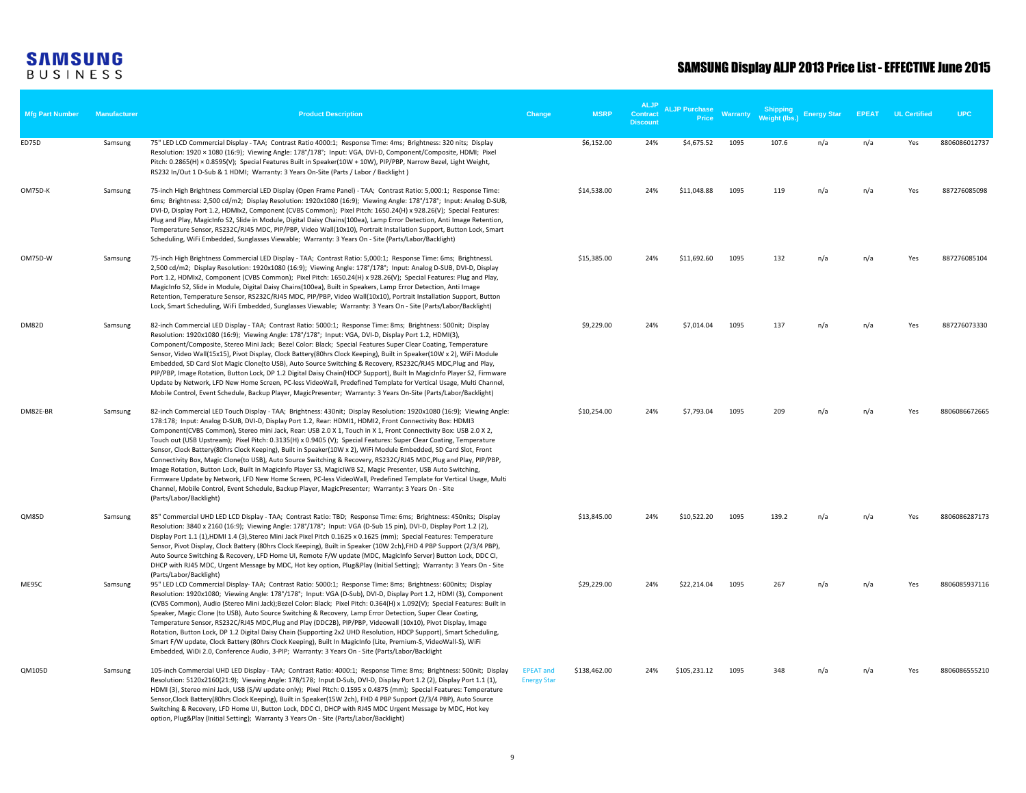| <b>Mfg Part Number</b> | Manufacturer | <b>Product Description</b>                                                                                                                                                                                                                                                                                                                                                                                                                                                                                                                                                                                                                                                                                                                                                                                                                                                                                                                                                                                                                                                              | Change                                 | <b>MSRP</b>  | <b>ALJP</b><br><b>Contract</b><br><b>Discount</b> | <b>ALJP Purchase</b><br><b>Price</b> | Warranty | <b>Shipping</b><br><b>Weight (lbs.</b> | <b>Energy Star</b> | <b>FPFAT</b> | <b>UL Certified</b> | <b>UPC</b>    |
|------------------------|--------------|-----------------------------------------------------------------------------------------------------------------------------------------------------------------------------------------------------------------------------------------------------------------------------------------------------------------------------------------------------------------------------------------------------------------------------------------------------------------------------------------------------------------------------------------------------------------------------------------------------------------------------------------------------------------------------------------------------------------------------------------------------------------------------------------------------------------------------------------------------------------------------------------------------------------------------------------------------------------------------------------------------------------------------------------------------------------------------------------|----------------------------------------|--------------|---------------------------------------------------|--------------------------------------|----------|----------------------------------------|--------------------|--------------|---------------------|---------------|
| ED75D                  | Samsung      | 75" LED LCD Commercial Display - TAA; Contrast Ratio 4000:1; Response Time: 4ms; Brightness: 320 nits; Display<br>Resolution: 1920 × 1080 (16:9); Viewing Angle: 178°/178°; Input: VGA, DVI-D, Component/Composite, HDMI; Pixel<br>Pitch: 0.2865(H) × 0.8595(V); Special Features Built in Speaker(10W + 10W), PIP/PBP, Narrow Bezel, Light Weight,<br>RS232 In/Out 1 D-Sub & 1 HDMI; Warranty: 3 Years On-Site (Parts / Labor / Backlight)                                                                                                                                                                                                                                                                                                                                                                                                                                                                                                                                                                                                                                             |                                        | \$6,152.00   | 24%                                               | \$4,675.52                           | 1095     | 107.6                                  | n/a                | n/a          | Yes                 | 8806086012737 |
| OM75D-K                | Samsung      | 75-inch High Brightness Commercial LED Display (Open Frame Panel) - TAA; Contrast Ratio: 5,000:1; Response Time:<br>6ms; Brightness: 2,500 cd/m2; Display Resolution: 1920x1080 (16:9); Viewing Angle: 178°/178°; Input: Analog D-SUB,<br>DVI-D, Display Port 1.2, HDMIx2, Component (CVBS Common); Pixel Pitch: 1650.24(H) x 928.26(V); Special Features:<br>Plug and Play, MagicInfo S2, Slide in Module, Digital Daisy Chains(100ea), Lamp Error Detection, Anti Image Retention,<br>Temperature Sensor, RS232C/RJ45 MDC, PIP/PBP, Video Wall(10x10), Portrait Installation Support, Button Lock, Smart<br>Scheduling, WiFi Embedded, Sunglasses Viewable; Warranty: 3 Years On - Site (Parts/Labor/Backlight)                                                                                                                                                                                                                                                                                                                                                                       |                                        | \$14,538.00  | 24%                                               | \$11,048.88                          | 1095     | 119                                    | n/a                | n/a          | Yes                 | 887276085098  |
| OM75D-W                | Samsung      | 75-inch High Brightness Commercial LED Display - TAA; Contrast Ratio: 5,000:1; Response Time: 6ms; BrightnessL<br>2,500 cd/m2; Display Resolution: 1920x1080 (16:9); Viewing Angle: 178°/178°; Input: Analog D-SUB, DVI-D, Display<br>Port 1.2, HDMIx2, Component (CVBS Common); Pixel Pitch: 1650.24(H) x 928.26(V); Special Features: Plug and Play,<br>MagicInfo S2, Slide in Module, Digital Daisy Chains(100ea), Built in Speakers, Lamp Error Detection, Anti Image<br>Retention, Temperature Sensor, RS232C/RJ45 MDC, PIP/PBP, Video Wall(10x10), Portrait Installation Support, Button<br>Lock, Smart Scheduling, WiFi Embedded, Sunglasses Viewable; Warranty: 3 Years On - Site (Parts/Labor/Backlight)                                                                                                                                                                                                                                                                                                                                                                       |                                        | \$15,385.00  | 24%                                               | \$11,692.60                          | 1095     | 132                                    | n/a                | n/a          | Yes                 | 887276085104  |
| <b>DM82D</b>           | Samsung      | 82-inch Commercial LED Display - TAA; Contrast Ratio: 5000:1; Response Time: 8ms; Brightness: 500nit; Display<br>Resolution: 1920x1080 (16:9); Viewing Angle: 178°/178°; Input: VGA, DVI-D, Display Port 1.2, HDMI(3),<br>Component/Composite, Stereo Mini Jack; Bezel Color: Black; Special Features Super Clear Coating, Temperature<br>Sensor, Video Wall(15x15), Pivot Display, Clock Battery(80hrs Clock Keeping), Built in Speaker(10W x 2), WiFi Module<br>Embedded, SD Card Slot Magic Clone(to USB), Auto Source Switching & Recovery, RS232C/RJ45 MDC, Plug and Play,<br>PIP/PBP, Image Rotation, Button Lock, DP 1.2 Digital Daisy Chain(HDCP Support), Built In MagicInfo Player S2, Firmware<br>Update by Network, LFD New Home Screen, PC-less VideoWall, Predefined Template for Vertical Usage, Multi Channel,<br>Mobile Control, Event Schedule, Backup Player, MagicPresenter; Warranty: 3 Years On-Site (Parts/Labor/Backlight)                                                                                                                                      |                                        | \$9,229.00   | 24%                                               | \$7,014.04                           | 1095     | 137                                    | n/a                | n/a          | Yes                 | 887276073330  |
| DM82E-BR               | Samsung      | 82-inch Commercial LED Touch Display - TAA; Brightness: 430nit; Display Resolution: 1920x1080 (16:9); Viewing Angle:<br>178:178; Input: Analog D-SUB, DVI-D, Display Port 1.2, Rear: HDMI1, HDMI2, Front Connectivity Box: HDMI3<br>Component(CVBS Common), Stereo mini Jack, Rear: USB 2.0 X 1, Touch in X 1, Front Connectivity Box: USB 2.0 X 2,<br>Touch out (USB Upstream); Pixel Pitch: 0.3135(H) x 0.9405 (V); Special Features: Super Clear Coating, Temperature<br>Sensor, Clock Battery(80hrs Clock Keeping), Built in Speaker(10W x 2), WiFi Module Embedded, SD Card Slot, Front<br>Connectivity Box, Magic Clone(to USB), Auto Source Switching & Recovery, RS232C/RJ45 MDC,Plug and Play, PIP/PBP,<br>Image Rotation, Button Lock, Built In MagicInfo Player S3, MagicIWB S2, Magic Presenter, USB Auto Switching,<br>Firmware Update by Network, LFD New Home Screen, PC-less VideoWall, Predefined Template for Vertical Usage, Multi<br>Channel, Mobile Control, Event Schedule, Backup Player, MagicPresenter; Warranty: 3 Years On - Site<br>(Parts/Labor/Backlight) |                                        | \$10,254.00  | 24%                                               | \$7,793.04                           | 1095     | 209                                    | n/a                | n/a          | Yes                 | 8806086672665 |
| QM85D                  | Samsung      | 85" Commercial UHD LED LCD Display - TAA; Contrast Ratio: TBD; Response Time: 6ms; Brightness: 450nits; Display<br>Resolution: 3840 x 2160 (16:9); Viewing Angle: 178°/178°; Input: VGA (D-Sub 15 pin), DVI-D, Display Port 1.2 (2),<br>Display Port 1.1 (1), HDMI 1.4 (3), Stereo Mini Jack Pixel Pitch 0.1625 x 0.1625 (mm); Special Features: Temperature<br>Sensor, Pivot Display, Clock Battery (80hrs Clock Keeping), Built in Speaker (10W 2ch), FHD 4 PBP Support (2/3/4 PBP),<br>Auto Source Switching & Recovery, LFD Home UI, Remote F/W update (MDC, MagicInfo Server) Button Lock, DDC CI,<br>DHCP with RJ45 MDC, Urgent Message by MDC, Hot key option, Plug&Play (Initial Setting); Warranty: 3 Years On - Site                                                                                                                                                                                                                                                                                                                                                          |                                        | \$13,845.00  | 24%                                               | \$10,522.20                          | 1095     | 139.2                                  | n/a                | n/a          | Yes                 | 8806086287173 |
| ME95C                  | Samsung      | (Parts/Labor/Backlight)<br>95" LED LCD Commercial Display- TAA; Contrast Ratio: 5000:1; Response Time: 8ms; Brightness: 600nits; Display<br>Resolution: 1920x1080; Viewing Angle: 178°/178°; Input: VGA (D-Sub), DVI-D, Display Port 1.2, HDMI (3), Component<br>(CVBS Common), Audio (Stereo Mini Jack); Bezel Color: Black; Pixel Pitch: 0.364(H) x 1.092(V); Special Features: Built in<br>Speaker, Magic Clone (to USB), Auto Source Switching & Recovery, Lamp Error Detection, Super Clear Coating,<br>Temperature Sensor, RS232C/RJ45 MDC,Plug and Play (DDC2B), PIP/PBP, Videowall (10x10), Pivot Display, Image<br>Rotation, Button Lock, DP 1.2 Digital Daisy Chain (Supporting 2x2 UHD Resolution, HDCP Support), Smart Scheduling,<br>Smart F/W update, Clock Battery (80hrs Clock Keeping), Built In MagicInfo (Lite, Premium-S, VideoWall-S), WiFi<br>Embedded, WiDi 2.0, Conference Audio, 3-PIP; Warranty: 3 Years On - Site (Parts/Labor/Backlight                                                                                                                     |                                        | \$29,229.00  | 24%                                               | \$22,214.04                          | 1095     | 267                                    | n/a                | n/a          | Yes                 | 8806085937116 |
| QM105D                 | Samsung      | 105-inch Commercial UHD LED Display - TAA; Contrast Ratio: 4000:1; Response Time: 8ms; Brightness: 500nit; Display<br>Resolution: 5120x2160(21:9); Viewing Angle: 178/178; Input D-Sub, DVI-D, Display Port 1.2 (2), Display Port 1.1 (1),<br>HDMI (3), Stereo mini Jack, USB (S/W update only); Pixel Pitch: 0.1595 x 0.4875 (mm); Special Features: Temperature<br>Sensor, Clock Battery(80hrs Clock Keeping), Built in Speaker(15W 2ch), FHD 4 PBP Support (2/3/4 PBP), Auto Source<br>Switching & Recovery, LFD Home UI, Button Lock, DDC CI, DHCP with RJ45 MDC Urgent Message by MDC, Hot key<br>option, Plug&Play (Initial Setting); Warranty 3 Years On - Site (Parts/Labor/Backlight)                                                                                                                                                                                                                                                                                                                                                                                          | <b>EPEAT and</b><br><b>Energy Star</b> | \$138,462.00 | 24%                                               | \$105,231.12                         | 1095     | 348                                    | n/a                | n/a          | Yes                 | 8806086555210 |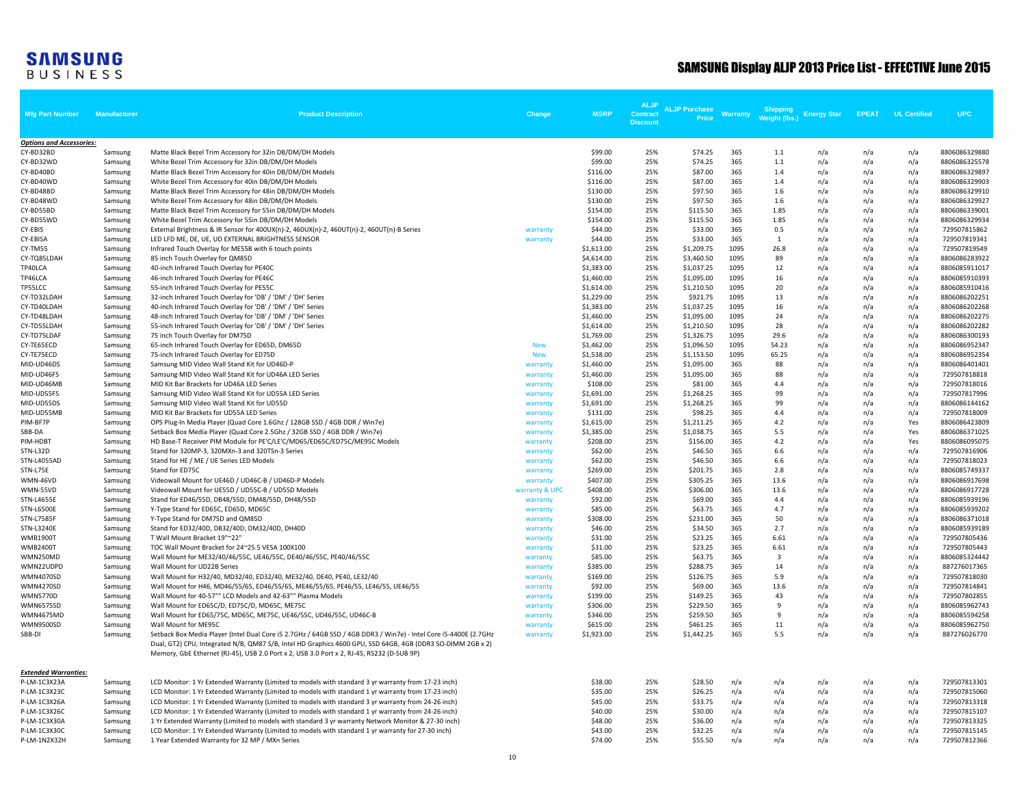| <b>Mfg Part Number</b>          | Manufacturer       | <b>Product Description</b>                                                                                                                                                                                                                                                                                                  | Change               | <b>MSRP</b>            | <b>ALJP</b><br><b>Contract</b><br><b>Discount</b> | <b>ALJP Purchase</b><br><b>Price</b> | Warranty    | <b>Shipping</b><br>Weight (lbs.) | <b>Energy Star</b> | <b>EPEAT</b> | <b>UL Certified</b> | <b>UPC</b>                     |
|---------------------------------|--------------------|-----------------------------------------------------------------------------------------------------------------------------------------------------------------------------------------------------------------------------------------------------------------------------------------------------------------------------|----------------------|------------------------|---------------------------------------------------|--------------------------------------|-------------|----------------------------------|--------------------|--------------|---------------------|--------------------------------|
| <b>Options and Accessories:</b> |                    |                                                                                                                                                                                                                                                                                                                             |                      |                        |                                                   |                                      |             |                                  |                    |              |                     |                                |
| CY-BD32BD                       | Samsung            | Matte Black Bezel Trim Accessory for 32in DB/DM/DH Models                                                                                                                                                                                                                                                                   |                      | \$99.00                | 25%                                               | \$74.25                              | 365         | 1.1                              | n/a                | n/a          | n/a                 | 8806086329880                  |
| CY-BD32WD                       | Samsung            | White Bezel Trim Accessory for 32in DB/DM/DH Models                                                                                                                                                                                                                                                                         |                      | \$99.00                | 25%                                               | \$74.25                              | 365         | 1.1                              | n/a                | n/a          | n/a                 | 8806086325578                  |
| CY-BD40BD                       | Samsung            | Matte Black Bezel Trim Accessory for 40in DB/DM/DH Models                                                                                                                                                                                                                                                                   |                      | \$116.00               | 25%                                               | \$87.00                              | 365         | 1.4                              | n/a                | n/a          | n/a                 | 8806086329897                  |
| CY-BD40WD                       | Samsung            | White Bezel Trim Accessory for 40in DB/DM/DH Models                                                                                                                                                                                                                                                                         |                      | \$116.00               | 25%                                               | \$87.00                              | 365         | 1.4                              | n/a                | n/a          | n/a                 | 8806086329903                  |
| CY-BD48BD                       | Samsung            | Matte Black Bezel Trim Accessory for 48in DB/DM/DH Models                                                                                                                                                                                                                                                                   |                      | \$130.00               | 25%                                               | \$97.50                              | 365         | 1.6                              | n/a                | n/a          | n/a                 | 8806086329910                  |
| CY-BD48WD                       | Samsung            | White Bezel Trim Accessory for 48in DB/DM/DH Models                                                                                                                                                                                                                                                                         |                      | \$130.00               | 25%                                               | \$97.50                              | 365         | 1.6                              | n/a                | n/a          | n/a                 | 8806086329927                  |
| CY-BD55BD                       | Samsung            | Matte Black Bezel Trim Accessory for 55in DB/DM/DH Models                                                                                                                                                                                                                                                                   |                      | \$154.00               | 25%                                               | \$115.50                             | 365         | 1.85                             | n/a                | n/a          | n/a                 | 8806086339001                  |
| CY-BD55WD                       | Samsung            | White Bezel Trim Accessory for 55in DB/DM/DH Models                                                                                                                                                                                                                                                                         |                      | \$154.00               | 25%                                               | \$115.50                             | 365         | 1.85                             | n/a                | n/a          | n/a                 | 8806086329934                  |
| CY-EBIS                         | Samsung            | External Brightness & IR Sensor for 400UX(n)-2, 460UX(n)-2, 460UT(n)-2, 460UT(n)-B Series                                                                                                                                                                                                                                   | warranty             | \$44.00                | 25%                                               | \$33.00                              | 365         | 0.5                              | n/a                | n/a          | n/a                 | 729507815862                   |
| CY-EBISA                        | Samsung            | LED LFD ME, DE, UE, UD EXTERNAL BRIGHTNESS SENSOR                                                                                                                                                                                                                                                                           | warranty             | \$44.00                | 25%                                               | \$33.00                              | 365         | 1                                | n/a                | n/a          | n/a                 | 729507819341                   |
| CY-TM55                         | Samsung            | Infrared Touch Overlay for ME55B with 6 touch points                                                                                                                                                                                                                                                                        |                      | \$1,613.00             | 25%                                               | \$1,209.75                           | 1095        | 26.8                             | n/a                | n/a          | n/a                 | 729507819549                   |
| CY-TQ85LDAH                     | Samsung            | 85 inch Touch Overlay for QM85D                                                                                                                                                                                                                                                                                             |                      | \$4,614.00             | 25%                                               | \$3,460.50                           | 1095        | 89                               | n/a                | n/a          | n/a                 | 8806086283922                  |
| TP40LCA                         | Samsung            | 40-inch Infrared Touch Overlay for PE40C                                                                                                                                                                                                                                                                                    |                      | \$1,383.00             | 25%                                               | \$1,037.25                           | 1095        | 12                               | n/a                | n/a          | n/a                 | 8806085911017                  |
| TP46LCA                         | Samsung            | 46-inch Infrared Touch Overlay for PE46C                                                                                                                                                                                                                                                                                    |                      | \$1,460.00             | 25%                                               | \$1,095.00                           | 1095        | 16                               | n/a                | n/a          | n/a                 | 8806085910393                  |
| TP55LCC                         | Samsung            | 55-inch Infrared Touch Overlay for PE55C                                                                                                                                                                                                                                                                                    |                      | \$1,614.00             | 25%                                               | \$1,210.50                           | 1095        | 20                               | n/a                | n/a          | n/a                 | 8806085910416                  |
| CY-TD32LDAH                     | Samsung            | 32-inch Infrared Touch Overlay for 'DB' / 'DM' / 'DH' Series                                                                                                                                                                                                                                                                |                      | \$1,229.00             | 25%                                               | \$921.75                             | 1095        | 13                               | n/a                | n/a          | n/a                 | 8806086202251                  |
| CY-TD40LDAH                     | Samsung            | 40-inch Infrared Touch Overlay for 'DB' / 'DM' / 'DH' Series                                                                                                                                                                                                                                                                |                      | \$1,383.00             | 25%                                               | \$1,037.25                           | 1095        | 16                               | n/a                | n/a          | n/a                 | 8806086202268                  |
| CY-TD48LDAH                     | Samsung            | 48-inch Infrared Touch Overlay for 'DB' / 'DM' / 'DH' Series                                                                                                                                                                                                                                                                |                      | \$1,460.00             | 25%                                               | \$1,095.00                           | 1095        | 24                               | n/a                | n/a          | n/a                 | 8806086202275                  |
| CY-TD55LDAH                     | Samsung            | 55-inch Infrared Touch Overlay for 'DB' / 'DM' / 'DH' Series                                                                                                                                                                                                                                                                |                      | \$1,614.00             | 25%                                               | \$1,210.50                           | 1095        | 28                               | n/a                | n/a          | n/a                 | 8806086202282                  |
| CY-TD75LDAF                     | Samsung            | 75 inch Touch Overlay for DM75D                                                                                                                                                                                                                                                                                             |                      | \$1,769.00             | 25%                                               | \$1,326.75                           | 1095        | 29.6                             | n/a                | n/a          | n/a                 | 8806086300193                  |
| CY-TE65ECD                      | Samsung            | 65-inch Infrared Touch Overlay for ED65D, DM65D                                                                                                                                                                                                                                                                             | <b>New</b>           | \$1,462.00             | 25%                                               | \$1,096.50                           | 1095        | 54.23                            | n/a                | n/a          | n/a                 | 8806086952347                  |
| CY-TE75ECD                      | Samsung            | 75-inch Infrared Touch Overlay for ED75D                                                                                                                                                                                                                                                                                    | <b>New</b>           | \$1,538.00             | 25%                                               | \$1,153.50                           | 1095<br>365 | 65.25<br>88                      | n/a                | n/a          | n/a                 | 8806086952354<br>8806086401401 |
| MID-UD46DS<br>MID-UD46FS        | Samsung            | Samsung MID Video Wall Stand Kit for UD46D-P<br>Samsung MID Video Wall Stand Kit for UD46A LED Series                                                                                                                                                                                                                       | warranty             | \$1,460.00             | 25%<br>25%                                        | \$1,095.00<br>\$1,095.00             | 365         | 88                               | n/a                | n/a          | n/a                 | 729507818818                   |
| MID-UD46MB                      | Samsung            | MID Kit Bar Brackets for UD46A LED Series                                                                                                                                                                                                                                                                                   | warranty<br>warranty | \$1,460.00<br>\$108.00 | 25%                                               | \$81.00                              | 365         | 4.4                              | n/a                | n/a          | n/a                 | 729507818016                   |
| MID-UD55FS                      | Samsung<br>Samsung | Samsung MID Video Wall Stand Kit for UD55A LED Series                                                                                                                                                                                                                                                                       | warranty             | \$1,691.00             | 25%                                               | \$1,268.25                           | 365         | 99                               | n/a<br>n/a         | n/a<br>n/a   | n/a<br>n/a          | 729507817996                   |
| MID-UD55DS                      | Samsung            | Samsung MID Video Wall Stand Kit for UD55D                                                                                                                                                                                                                                                                                  | warranty             | \$1,691.00             | 25%                                               | \$1,268.25                           | 365         | 99                               | n/a                | n/a          | n/a                 | 8806086144162                  |
| MID-UD55MB                      | Samsung            | MID Kit Bar Brackets for UD55A LED Series                                                                                                                                                                                                                                                                                   | warranty             | \$131.00               | 25%                                               | \$98.25                              | 365         | 4.4                              | n/a                | n/a          | n/a                 | 729507818009                   |
| PIM-BF7P                        | Samsung            | OPS Plug-In Media Player (Quad Core 1.6Ghz / 128GB SSD / 4GB DDR / Win7e)                                                                                                                                                                                                                                                   | warranty             | \$1,615.00             | 25%                                               | \$1,211.25                           | 365         | 4.2                              | n/a                | n/a          | Yes                 | 8806086423809                  |
| SBB-DA                          | Samsung            | Setback Box Media Player (Quad Core 2.5Ghz / 32GB SSD / 4GB DDR / Win7e)                                                                                                                                                                                                                                                    | warranty             | \$1,385.00             | 25%                                               | \$1,038.75                           | 365         | 5.5                              | n/a                | n/a          | Yes                 | 8806086371025                  |
| PIM-HDBT                        | Samsung            | HD Base-T Receiver PIM Module for PE'C/LE'C/MD65/ED65C/ED75C/ME95C Models                                                                                                                                                                                                                                                   | warranty             | \$208.00               | 25%                                               | \$156.00                             | 365         | 4.2                              | n/a                | n/a          | Yes                 | 8806086095075                  |
| STN-L32D                        | Samsung            | Stand for 320MP-3, 320MXn-3 and 320TSn-3 Series                                                                                                                                                                                                                                                                             | warranty             | \$62.00                | 25%                                               | \$46.50                              | 365         | 6.6                              | n/a                | n/a          | n/a                 | 729507816906                   |
| STN-L4055AD                     | Samsung            | Stand for HE / ME / UE Series LED Models                                                                                                                                                                                                                                                                                    | warranty             | \$62.00                | 25%                                               | \$46.50                              | 365         | 6.6                              | n/a                | n/a          | n/a                 | 729507818023                   |
| STN-L75E                        | Samsung            | Stand for ED75C                                                                                                                                                                                                                                                                                                             | warranty             | \$269.00               | 25%                                               | \$201.75                             | 365         | 2.8                              | n/a                | n/a          | n/a                 | 8806085749337                  |
| WMN-46VD                        | Samsung            | Videowall Mount for UE46D / UD46C-B / UD46D-P Models                                                                                                                                                                                                                                                                        | warranty             | \$407.00               | 25%                                               | \$305.25                             | 365         | 13.6                             | n/a                | n/a          | n/a                 | 8806086917698                  |
| WMN-55VD                        | Samsung            | Videowall Mount for UE55D / UD55C-B / UD55D Models                                                                                                                                                                                                                                                                          | warranty & UPC       | \$408.00               | 25%                                               | \$306.00                             | 365         | 13.6                             | n/a                | n/a          | n/a                 | 8806086917728                  |
| STN-L4655E                      | Samsung            | Stand for ED46/55D, DB48/55D, DM48/55D, DH48/55D                                                                                                                                                                                                                                                                            | warranty             | \$92.00                | 25%                                               | \$69.00                              | 365         | 4.4                              | n/a                | n/a          | n/a                 | 8806085939196                  |
| <b>STN-L6500E</b>               | Samsung            | Y-Type Stand for ED65C, ED65D, MD65C                                                                                                                                                                                                                                                                                        | warranty             | \$85.00                | 25%                                               | \$63.75                              | 365         | 4.7                              | n/a                | n/a          | n/a                 | 8806085939202                  |
| <b>STN-L7585F</b>               | Samsung            | Y-Type Stand for DM75D and QM85D                                                                                                                                                                                                                                                                                            | warranty             | \$308.00               | 25%                                               | \$231.00                             | 365         | 50                               | n/a                | n/a          | n/a                 | 8806086371018                  |
| STN-L3240E                      | Samsung            | Stand for ED32/40D, DB32/40D, DM32/40D, DH40D                                                                                                                                                                                                                                                                               | warranty             | \$46.00                | 25%                                               | \$34.50                              | 365         | 2.7                              | n/a                | n/a          | n/a                 | 8806085939189                  |
| <b>WMB1900T</b>                 | Samsung            | T Wall Mount Bracket 19"~22"                                                                                                                                                                                                                                                                                                | warranty             | \$31.00                | 25%                                               | \$23.25                              | 365         | 6.61                             | n/a                | n/a          | n/a                 | 729507805436                   |
| <b>WMB2400T</b>                 | Samsung            | TOC Wall Mount Bracket for 24~25.5 VESA 100X100                                                                                                                                                                                                                                                                             | warranty             | \$31.00                | 25%                                               | \$23.25                              | 365         | 6.61                             | n/a                | n/a          | n/a                 | 729507805443                   |
| WMN250MD                        | Samsung            | Wall Mount for ME32/40/46/55C, UE46/55C, DE40/46/55C, PE40/46/55C                                                                                                                                                                                                                                                           | warranty             | \$85.00                | 25%                                               | \$63.75                              | 365         | $\overline{\mathbf{3}}$          | n/a                | n/a          | n/a                 | 8806085324442                  |
| WMN22UDPD                       | Samsung            | Wall Mount for UD22B Series                                                                                                                                                                                                                                                                                                 | warranty             | \$385.00               | 25%                                               | \$288.75                             | 365         | 14                               | n/a                | n/a          | n/a                 | 887276017365                   |
| <b>WMN4070SD</b>                | Samsung            | Wall Mount for H32/40, MD32/40, ED32/40, ME32/40, DE40, PE40, LE32/40                                                                                                                                                                                                                                                       | warranty             | \$169.00               | 25%                                               | \$126.75                             | 365         | 5.9                              | n/a                | n/a          | n/a                 | 729507818030                   |
| <b>WMN4270SD</b>                | Samsung            | Wall Mount for H46, MD46/55/65, ED46/55/65, ME46/55/65, PE46/55, LE46/55, UE46/55                                                                                                                                                                                                                                           | warranty             | \$92.00                | 25%                                               | \$69.00                              | 365         | 13.6                             | n/a                | n/a          | n/a                 | 729507814841                   |
| <b>WMN5770D</b>                 | Samsung            | Wall Mount for 40-57"" LCD Models and 42-63"" Plasma Models                                                                                                                                                                                                                                                                 | warranty             | \$199.00               | 25%                                               | \$149.25                             | 365         | 43                               | n/a                | n/a          | n/a                 | 729507802855                   |
| <b>WMN6575SD</b>                | Samsung            | Wall Mount for ED65C/D, ED75C/D, MD65C, ME75C                                                                                                                                                                                                                                                                               | warranty             | \$306.00               | 25%                                               | \$229.50                             | 365         | $\mathbf{q}$                     | n/a                | n/a          | n/a                 | 8806085962743                  |
| <b>WMN4675MD</b>                | Samsung            | Wall Mount for ED65/75C, MD65C, ME75C, UE46/55C, UD46/55C, UD46C-B                                                                                                                                                                                                                                                          | warranty             | \$346.00               | 25%                                               | \$259.50                             | 365         | 9                                | n/a                | n/a          | n/a                 | 8806085594258                  |
| <b>WMN9500SD</b>                | Samsung            | Wall Mount for ME95C                                                                                                                                                                                                                                                                                                        | warranty             | \$615.00               | 25%                                               | \$461.25                             | 365         | 11                               | n/a                | n/a          | n/a                 | 8806085962750                  |
| SBB-DI                          | Samsung            | Setback Box Media Player (Intel Dual Core i5 2.7GHz / 64GB SSD / 4GB DDR3 / Win7e) - Intel Core i5-4400E (2.7GHz<br>Dual, GT2) CPU, Integrated N/B, QM87 S/B, Intel HD Graphics 4600 GPU, SSD 64GB, 4GB (DDR3 SO-DIMM 2GB x 2)<br>Memory, GbE Ethernet (RJ-45), USB 2.0 Port x 2, USB 3.0 Port x 2, RJ-45, RS232 (D-SUB 9P) | warranty             | \$1,923.00             | 25%                                               | \$1,442.25                           | 365         | 5.5                              | n/a                | n/a          | n/a                 | 887276026770                   |
| <b>Extended Warranties:</b>     |                    |                                                                                                                                                                                                                                                                                                                             |                      |                        |                                                   |                                      |             |                                  |                    |              |                     |                                |
| P-LM-1C3X23A                    | Samsung            | LCD Monitor: 1 Yr Extended Warranty (Limited to models with standard 3 yr warranty from 17-23 inch)                                                                                                                                                                                                                         |                      | \$38.00                | 25%                                               | \$28.50                              | n/a         | n/a                              | n/a                | n/a          | n/a                 | 729507813301                   |
| P-LM-1C3X23C                    | Samsung            | LCD Monitor: 1 Yr Extended Warranty (Limited to models with standard 1 yr warranty from 17-23 inch)                                                                                                                                                                                                                         |                      | \$35.00                | 25%                                               | \$26.25                              | n/a         | n/a                              | n/a                | n/a          | n/a                 | 729507815060                   |
| P-LM-1C3X26A                    | Samsung            | LCD Monitor: 1 Yr Extended Warranty (Limited to models with standard 3 yr warranty from 24-26 inch)                                                                                                                                                                                                                         |                      | \$45.00                | 25%                                               | \$33.75                              | n/a         | n/a                              | n/a                | n/a          | n/a                 | 729507813318                   |
| P-LM-1C3X26C                    | Samsung            | LCD Monitor: 1 Yr Extended Warranty (Limited to models with standard 1 yr warranty from 24-26 inch)                                                                                                                                                                                                                         |                      | \$40.00                | 25%                                               | \$30.00                              | n/a         | n/a                              | n/a                | n/a          | n/a                 | 729507815107                   |
| P-LM-1C3X30A                    | Samsung            | 1 Yr Extended Warranty (Limited to models with standard 3 yr warranty Network Monitor & 27-30 inch)                                                                                                                                                                                                                         |                      | \$48.00                | 25%                                               | \$36.00                              | n/a         | n/a                              | n/a                | n/a          | n/a                 | 729507813325                   |
| P-LM-1C3X30C                    | Samsung            | LCD Monitor: 1 Yr Extended Warranty (Limited to models with standard 1 yr warranty for 27-30 inch)                                                                                                                                                                                                                          |                      | \$43.00                | 25%                                               | \$32.25                              | n/a         | n/a                              | n/a                | n/a          | n/a                 | 729507815145                   |
| P-LM-1N2X32H                    | Samsung            | 1 Year Extended Warranty for 32 MP / MXn Series                                                                                                                                                                                                                                                                             |                      | \$74.00                | 25%                                               | \$55.50                              | n/a         | n/a                              | n/a                | n/a          | n/a                 | 729507812366                   |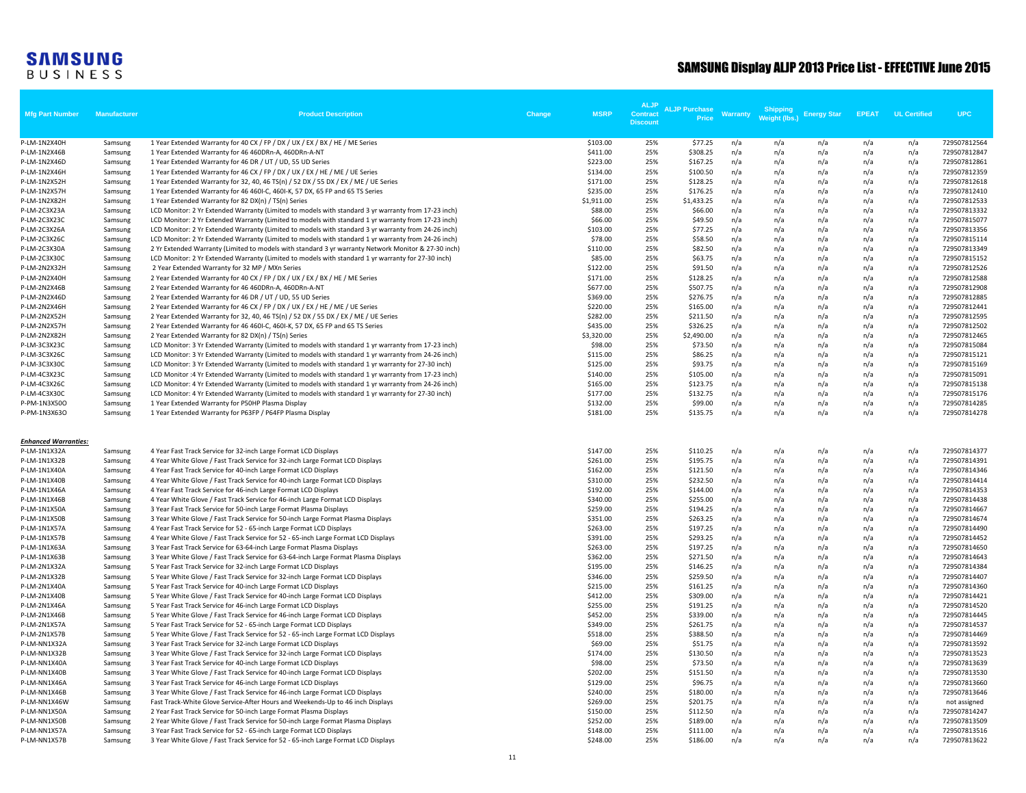| <b>Mfg Part Number</b>       | Manufacture        | <b>Product Description</b>                                                                                                                                                                                | Change | <b>MSRP</b>          | <b>ALJP</b><br><b>Contract</b><br><b>Discount</b> | <b>ALJP Purchase</b><br>Price | <b>Warranty</b> | <b>Shipping</b><br>Weight (lbs.) | <b>Energy Star</b> | <b>EPEAT</b> | <b>UL Certified</b> | <b>UPC</b>                   |
|------------------------------|--------------------|-----------------------------------------------------------------------------------------------------------------------------------------------------------------------------------------------------------|--------|----------------------|---------------------------------------------------|-------------------------------|-----------------|----------------------------------|--------------------|--------------|---------------------|------------------------------|
| P-LM-1N2X40H                 | Samsung            | 1 Year Extended Warranty for 40 CX / FP / DX / UX / EX / BX / HE / ME Series                                                                                                                              |        | \$103.00             | 25%                                               | \$77.25                       | n/a             | n/a                              | n/a                | n/a          | n/a                 | 729507812564                 |
| P-LM-1N2X46B                 | Samsung            | 1 Year Extended Warranty for 46 460DRn-A, 460DRn-A-NT                                                                                                                                                     |        | \$411.00             | 25%                                               | \$308.25                      | n/a             | n/a                              | n/a                | n/a          | n/a                 | 729507812847                 |
| P-LM-1N2X46D                 | Samsung            | 1 Year Extended Warranty for 46 DR / UT / UD, 55 UD Series                                                                                                                                                |        | \$223.00             | 25%                                               | \$167.25                      | n/a             | n/a                              | n/a                | n/a          | n/a                 | 729507812861                 |
| P-LM-1N2X46H<br>P-LM-1N2X52H | Samsung<br>Samsung | 1 Year Extended Warranty for 46 CX / FP / DX / UX / EX / HE / ME / UE Series<br>1 Year Extended Warranty for 32, 40, 46 TS(n) / 52 DX / 55 DX / EX / ME / UE Series                                       |        | \$134.00<br>\$171.00 | 25%<br>25%                                        | \$100.50<br>\$128.25          | n/a<br>n/a      | n/a<br>n/a                       | n/a<br>n/a         | n/a<br>n/a   | n/a<br>n/a          | 729507812359<br>729507812618 |
| P-LM-1N2X57H                 | Samsung            | 1 Year Extended Warranty for 46 460I-C, 460I-K, 57 DX, 65 FP and 65 TS Series                                                                                                                             |        | \$235.00             | 25%                                               | \$176.25                      | n/a             | n/a                              | n/a                | n/a          | n/a                 | 729507812410                 |
| P-LM-1N2X82H                 | Samsung            | 1 Year Extended Warranty for 82 DX(n) / TS(n) Series                                                                                                                                                      |        | \$1,911.00           | 25%                                               | \$1,433.25                    | n/a             | n/a                              | n/a                | n/a          | n/a                 | 729507812533                 |
| P-LM-2C3X23A                 | Samsung            | LCD Monitor: 2 Yr Extended Warranty (Limited to models with standard 3 yr warranty from 17-23 inch)                                                                                                       |        | \$88.00              | 25%                                               | \$66.00                       | n/a             | n/a                              | n/a                | n/a          | n/a                 | 729507813332                 |
| P-LM-2C3X23C                 | Samsung            | LCD Monitor: 2 Yr Extended Warranty (Limited to models with standard 1 yr warranty from 17-23 inch)                                                                                                       |        | \$66.00              | 25%                                               | \$49.50                       | n/a             | n/a                              | n/a                | n/a          | n/a                 | 729507815077                 |
| P-LM-2C3X26A                 | Samsung            | LCD Monitor: 2 Yr Extended Warranty (Limited to models with standard 3 yr warranty from 24-26 inch)                                                                                                       |        | \$103.00             | 25%                                               | \$77.25                       | n/a             | n/a                              | n/a                | n/a          | n/a                 | 729507813356                 |
| P-LM-2C3X26C                 | Samsung            | LCD Monitor: 2 Yr Extended Warranty (Limited to models with standard 1 yr warranty from 24-26 inch)                                                                                                       |        | \$78.00              | 25%                                               | \$58.50                       | n/a             | n/a                              | n/a                | n/a          | n/a                 | 729507815114                 |
| P-LM-2C3X30A                 | Samsung            | 2 Yr Extended Warranty (Limited to models with standard 3 yr warranty Network Monitor & 27-30 inch)                                                                                                       |        | \$110.00             | 25%                                               | \$82.50                       | n/a             | n/a                              | n/a                | n/a          | n/a                 | 729507813349                 |
| P-LM-2C3X30C                 | Samsung            | LCD Monitor: 2 Yr Extended Warranty (Limited to models with standard 1 yr warranty for 27-30 inch)                                                                                                        |        | \$85.00              | 25%                                               | \$63.75                       | n/a             | n/a                              | n/a                | n/a          | n/a                 | 729507815152                 |
| P-LM-2N2X32H<br>P-LM-2N2X40H | Samsung            | 2 Year Extended Warranty for 32 MP / MXn Series<br>2 Year Extended Warranty for 40 CX / FP / DX / UX / EX / BX / HE / ME Series                                                                           |        | \$122.00<br>\$171.00 | 25%<br>25%                                        | \$91.50<br>\$128.25           | n/a<br>n/a      | n/a<br>n/a                       | n/a<br>n/a         | n/a<br>n/a   | n/a<br>n/a          | 729507812526<br>729507812588 |
| P-LM-2N2X46B                 | Samsung<br>Samsung | 2 Year Extended Warranty for 46 460DRn-A, 460DRn-A-NT                                                                                                                                                     |        | \$677.00             | 25%                                               | \$507.75                      | n/a             | n/a                              | n/a                | n/a          | n/a                 | 729507812908                 |
| P-LM-2N2X46D                 | Samsung            | 2 Year Extended Warranty for 46 DR / UT / UD, 55 UD Series                                                                                                                                                |        | \$369.00             | 25%                                               | \$276.75                      | n/a             | n/a                              | n/a                | n/a          | n/a                 | 729507812885                 |
| P-LM-2N2X46H                 | Samsung            | 2 Year Extended Warranty for 46 CX / FP / DX / UX / EX / HE / ME / UE Series                                                                                                                              |        | \$220.00             | 25%                                               | \$165.00                      | n/a             | n/a                              | n/a                | n/a          | n/a                 | 729507812441                 |
| P-LM-2N2X52H                 | Samsung            | 2 Year Extended Warranty for 32, 40, 46 TS(n) / 52 DX / 55 DX / EX / ME / UE Series                                                                                                                       |        | \$282.00             | 25%                                               | \$211.50                      | n/a             | n/a                              | n/a                | n/a          | n/a                 | 729507812595                 |
| P-LM-2N2X57H                 | Samsung            | 2 Year Extended Warranty for 46 460I-C, 460I-K, 57 DX, 65 FP and 65 TS Series                                                                                                                             |        | \$435.00             | 25%                                               | \$326.25                      | n/a             | n/a                              | n/a                | n/a          | n/a                 | 729507812502                 |
| P-LM-2N2X82H                 | Samsung            | 2 Year Extended Warranty for 82 DX(n) / TS(n) Series                                                                                                                                                      |        | \$3,320.00           | 25%                                               | \$2,490.00                    | n/a             | n/a                              | n/a                | n/a          | n/a                 | 729507812465                 |
| P-LM-3C3X23C                 | Samsung            | LCD Monitor: 3 Yr Extended Warranty (Limited to models with standard 1 yr warranty from 17-23 inch)                                                                                                       |        | \$98.00              | 25%                                               | \$73.50                       | n/a             | n/a                              | n/a                | n/a          | n/a                 | 729507815084                 |
| P-LM-3C3X26C                 | Samsung            | LCD Monitor: 3 Yr Extended Warranty (Limited to models with standard 1 yr warranty from 24-26 inch)                                                                                                       |        | \$115.00             | 25%                                               | \$86.25                       | n/a             | n/a                              | n/a                | n/a          | n/a                 | 729507815121                 |
| P-LM-3C3X30C                 | Samsung            | LCD Monitor: 3 Yr Extended Warranty (Limited to models with standard 1 yr warranty for 27-30 inch)                                                                                                        |        | \$125.00             | 25%                                               | \$93.75                       | n/a             | n/a                              | n/a                | n/a          | n/a                 | 729507815169                 |
| P-LM-4C3X23C                 | Samsung            | LCD Monitor :4 Yr Extended Warranty (Limited to models with standard 1 yr warranty from 17-23 inch)                                                                                                       |        | \$140.00             | 25%                                               | \$105.00                      | n/a             | n/a                              | n/a                | n/a          | n/a                 | 729507815091                 |
| P-LM-4C3X26C<br>P-LM-4C3X30C | Samsung<br>Samsung | LCD Monitor: 4 Yr Extended Warranty (Limited to models with standard 1 yr warranty from 24-26 inch)<br>LCD Monitor: 4 Yr Extended Warranty (Limited to models with standard 1 yr warranty for 27-30 inch) |        | \$165.00<br>\$177.00 | 25%<br>25%                                        | \$123.75<br>\$132.75          | n/a<br>n/a      | n/a<br>n/a                       | n/a<br>n/a         | n/a<br>n/a   | n/a<br>n/a          | 729507815138<br>729507815176 |
| P-PM-1N3X50O                 | Samsung            | 1 Year Extended Warranty for P50HP Plasma Display                                                                                                                                                         |        | \$132.00             | 25%                                               | \$99.00                       | n/a             | n/a                              | n/a                | n/a          | n/a                 | 729507814285                 |
| P-PM-1N3X63O                 | Samsung            | 1 Year Extended Warranty for P63FP / P64FP Plasma Display                                                                                                                                                 |        | \$181.00             | 25%                                               | \$135.75                      | n/a             | n/a                              | n/a                | n/a          | n/a                 | 729507814278                 |
| <b>Enhanced Warranties:</b>  |                    |                                                                                                                                                                                                           |        |                      |                                                   |                               |                 |                                  |                    |              |                     |                              |
| P-LM-1N1X32A                 | Samsung            | 4 Year Fast Track Service for 32-inch Large Format LCD Displays                                                                                                                                           |        | \$147.00             | 25%                                               | \$110.25                      | n/a             | n/a                              | n/a                | n/a          | n/a                 | 729507814377                 |
| P-LM-1N1X32B                 | Samsung            | 4 Year White Glove / Fast Track Service for 32-inch Large Format LCD Displays                                                                                                                             |        | \$261.00             | 25%                                               | \$195.75                      | n/a             | n/a                              | n/a                | n/a          | n/a                 | 729507814391                 |
| P-LM-1N1X40A                 | Samsung            | 4 Year Fast Track Service for 40-inch Large Format LCD Displays                                                                                                                                           |        | \$162.00             | 25%                                               | \$121.50                      | n/a             | n/a                              | n/a                | n/a          | n/a                 | 729507814346                 |
| P-LM-1N1X40B                 | Samsung            | 4 Year White Glove / Fast Track Service for 40-inch Large Format LCD Displays                                                                                                                             |        | \$310.00             | 25%                                               | \$232.50                      | n/a             | n/a                              | n/a                | n/a          | n/a                 | 729507814414                 |
| P-LM-1N1X46A                 | Samsung            | 4 Year Fast Track Service for 46-inch Large Format LCD Displays                                                                                                                                           |        | \$192.00             | 25%                                               | \$144.00                      | n/a             | n/a                              | n/a                | n/a          | n/a                 | 729507814353                 |
| P-LM-1N1X46B                 | Samsung            | 4 Year White Glove / Fast Track Service for 46-inch Large Format LCD Displays                                                                                                                             |        | \$340.00             | 25%                                               | \$255.00                      | n/a             | n/a                              | n/a                | n/a          | n/a                 | 729507814438                 |
| P-LM-1N1X50A                 | Samsung            | 3 Year Fast Track Service for 50-inch Large Format Plasma Displays                                                                                                                                        |        | \$259.00             | 25%<br>25%                                        | \$194.25<br>\$263.25          | n/a             | n/a                              | n/a                | n/a          | n/a<br>n/a          | 729507814667                 |
| P-LM-1N1X50B<br>P-LM-1N1X57A | Samsung<br>Samsung | 3 Year White Glove / Fast Track Service for 50-inch Large Format Plasma Displays<br>4 Year Fast Track Service for 52 - 65-inch Large Format LCD Displays                                                  |        | \$351.00<br>\$263.00 | 25%                                               | \$197.25                      | n/a<br>n/a      | n/a<br>n/a                       | n/a<br>n/a         | n/a<br>n/a   | n/a                 | 729507814674<br>729507814490 |
| P-LM-1N1X57B                 | Samsung            | 4 Year White Glove / Fast Track Service for 52 - 65-inch Large Format LCD Displays                                                                                                                        |        | \$391.00             | 25%                                               | \$293.25                      | n/a             | n/a                              | n/a                | n/a          | n/a                 | 729507814452                 |
| P-LM-1N1X63A                 | Samsung            | 3 Year Fast Track Service for 63-64-inch Large Format Plasma Displays                                                                                                                                     |        | \$263.00             | 25%                                               | \$197.25                      | n/a             | n/a                              | n/a                | n/a          | n/a                 | 729507814650                 |
| P-LM-1N1X63B                 | Samsung            | 3 Year White Glove / Fast Track Service for 63-64-inch Large Format Plasma Displays                                                                                                                       |        | \$362.00             | 25%                                               | \$271.50                      | n/a             | n/a                              | n/a                | n/a          | n/a                 | 729507814643                 |
| P-LM-2N1X32A                 | Samsung            | 5 Year Fast Track Service for 32-inch Large Format LCD Displays                                                                                                                                           |        | \$195.00             | 25%                                               | \$146.25                      | n/a             | n/a                              | n/a                | n/a          | n/a                 | 729507814384                 |
| P-LM-2N1X32B                 | Samsung            | 5 Year White Glove / Fast Track Service for 32-inch Large Format LCD Displays                                                                                                                             |        | \$346.00             | 25%                                               | \$259.50                      | n/a             | n/a                              | n/a                | n/a          | n/a                 | 729507814407                 |
| P-LM-2N1X40A                 | Samsung            | 5 Year Fast Track Service for 40-inch Large Format LCD Displays                                                                                                                                           |        | \$215.00             | 25%                                               | \$161.25                      | n/a             | n/a                              | n/a                | n/a          | n/a                 | 729507814360                 |
| P-LM-2N1X40B                 | Samsung            | 5 Year White Glove / Fast Track Service for 40-inch Large Format LCD Displays                                                                                                                             |        | \$412.00             | 25%                                               | \$309.00                      | n/a             | n/a                              | n/a                | n/a          | n/a                 | 729507814421                 |
| P-LM-2N1X46A                 | Samsung            | 5 Year Fast Track Service for 46-inch Large Format LCD Displays                                                                                                                                           |        | \$255.00             | 25%                                               | \$191.25                      | n/a             | n/a                              | n/a                | n/a          | n/a                 | 729507814520                 |
| P-LM-2N1X46B<br>P-LM-2N1X57A | Samsung            | 5 Year White Glove / Fast Track Service for 46-inch Large Format LCD Displays<br>5 Year Fast Track Service for 52 - 65-inch Large Format LCD Displays                                                     |        | \$452.00<br>\$349.00 | 25%<br>25%                                        | \$339.00<br>\$261.75          | n/a<br>n/a      | n/a<br>n/a                       | n/a<br>n/a         | n/a<br>n/a   | n/a<br>n/a          | 729507814445<br>729507814537 |
| P-LM-2N1X57B                 | Samsung<br>Samsung | 5 Year White Glove / Fast Track Service for 52 - 65-inch Large Format LCD Displays                                                                                                                        |        | \$518.00             | 25%                                               | \$388.50                      | n/a             | n/a                              | n/a                | n/a          | n/a                 | 729507814469                 |
| P-LM-NN1X32A                 | Samsung            | 3 Year Fast Track Service for 32-inch Large Format LCD Displays                                                                                                                                           |        | \$69.00              | 25%                                               | \$51.75                       | n/a             | n/a                              | n/a                | n/a          | n/a                 | 729507813592                 |
| P-LM-NN1X32B                 | Samsung            | 3 Year White Glove / Fast Track Service for 32-inch Large Format LCD Displays                                                                                                                             |        | \$174.00             | 25%                                               | \$130.50                      | n/a             | n/a                              | n/a                | n/a          | n/a                 | 729507813523                 |
| P-LM-NN1X40A                 | Samsung            | 3 Year Fast Track Service for 40-inch Large Format LCD Displays                                                                                                                                           |        | \$98.00              | 25%                                               | \$73.50                       | n/a             | n/a                              | n/a                | n/a          | n/a                 | 729507813639                 |
| P-LM-NN1X40B                 | Samsung            | 3 Year White Glove / Fast Track Service for 40-inch Large Format LCD Displays                                                                                                                             |        | \$202.00             | 25%                                               | \$151.50                      | n/a             | n/a                              | n/a                | n/a          | n/a                 | 729507813530                 |
| P-LM-NN1X46A                 | Samsung            | 3 Year Fast Track Service for 46-inch Large Format LCD Displays                                                                                                                                           |        | \$129.00             | 25%                                               | \$96.75                       | n/a             | n/a                              | n/a                | n/a          | n/a                 | 729507813660                 |
| P-LM-NN1X46B                 | Samsung            | 3 Year White Glove / Fast Track Service for 46-inch Large Format LCD Displays                                                                                                                             |        | \$240.00             | 25%                                               | \$180.00                      | n/a             | n/a                              | n/a                | n/a          | n/a                 | 729507813646                 |
| P-LM-NN1X46W                 | Samsung            | Fast Track-White Glove Service-After Hours and Weekends-Up to 46 inch Displays                                                                                                                            |        | \$269.00             | 25%                                               | \$201.75                      | n/a             | n/a                              | n/a                | n/a          | n/a                 | not assigned                 |
| P-LM-NN1X50A                 | Samsung            | 2 Year Fast Track Service for 50-inch Large Format Plasma Displays                                                                                                                                        |        | \$150.00             | 25%                                               | \$112.50                      | n/a             | n/a                              | n/a                | n/a          | n/a                 | 729507814247                 |
| P-LM-NN1X50B<br>P-LM-NN1X57A | Samsung            | 2 Year White Glove / Fast Track Service for 50-inch Large Format Plasma Displays<br>3 Year Fast Track Service for 52 - 65-inch Large Format LCD Displays                                                  |        | \$252.00<br>\$148.00 | 25%<br>25%                                        | \$189.00<br>\$111.00          | n/a<br>n/a      | n/a<br>n/a                       | n/a<br>n/a         | n/a<br>n/a   | n/a<br>n/a          | 729507813509<br>729507813516 |
| P-LM-NN1X57B                 | Samsung<br>Samsung | 3 Year White Glove / Fast Track Service for 52 - 65-inch Large Format LCD Displays                                                                                                                        |        | \$248.00             | 25%                                               | \$186.00                      | n/a             | n/a                              | n/a                | n/a          | n/a                 | 729507813622                 |
|                              |                    |                                                                                                                                                                                                           |        |                      |                                                   |                               |                 |                                  |                    |              |                     |                              |